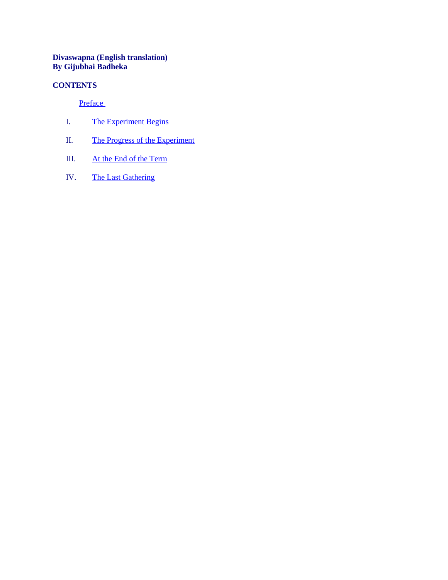## **Divaswapna (English translation) By Gijubhai Badheka**

# **CONTENTS**

**[Preface](#page-1-0)** 

- I. [The Experiment Begins](#page-2-0)
- II. [The Progress of the Experiment](#page-16-0)
- III. [At the End of the Term](#page-28-0)
- IV. [The Last Gathering](#page-48-0)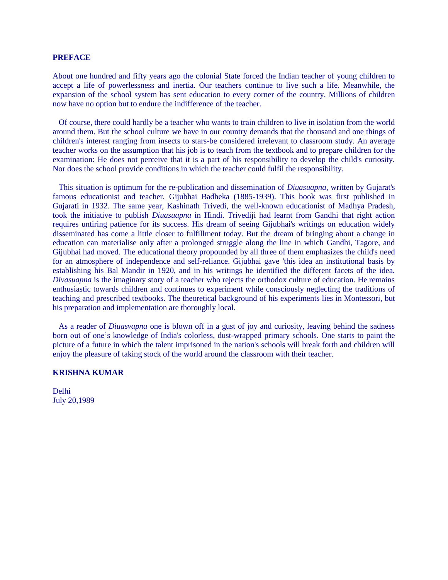## <span id="page-1-0"></span>**PREFACE**

About one hundred and fifty years ago the colonial State forced the Indian teacher of young children to accept a life of powerlessness and inertia. Our teachers continue to live such a life. Meanwhile, the expansion of the school system has sent education to every corner of the country. Millions of children now have no option but to endure the indifference of the teacher.

 Of course, there could hardly be a teacher who wants to train children to live in isolation from the world around them. But the school culture we have in our country demands that the thousand and one things of children's interest ranging from insects to stars-be considered irrelevant to classroom study. An average teacher works on the assumption that his job is to teach from the textbook and to prepare children for the examination: He does not perceive that it is a part of his responsibility to develop the child's curiosity. Nor does the school provide conditions in which the teacher could fulfil the responsibility.

 This situation is optimum for the re-publication and dissemination of *Diuasuapna*, written by Gujarat's famous educationist and teacher, Gijubhai Badheka (1885-1939). This book was first published in Gujarati in 1932. The same year, Kashinath Trivedi, the well-known educationist of Madhya Pradesh, took the initiative to publish *Diuasuapna* in Hindi. Trivediji had learnt from Gandhi that right action requires untiring patience for its success. His dream of seeing Gijubhai's writings on education widely disseminated has come a little closer to fulfillment today. But the dream of bringing about a change in education can materialise only after a prolonged struggle along the line in which Gandhi, Tagore, and Gijubhai had moved. The educational theory propounded by all three of them emphasizes the child's need for an atmosphere of independence and self-reliance. Gijubhai gave 'this idea an institutional basis by establishing his Bal Mandir in 1920, and in his writings he identified the different facets of the idea. *Divasuapna* is the imaginary story of a teacher who rejects the orthodox culture of education. He remains enthusiastic towards children and continues to experiment while consciously neglecting the traditions of teaching and prescribed textbooks. The theoretical background of his experiments lies in Montessori, but his preparation and implementation are thoroughly local.

 As a reader of *Diuasvapna* one is blown off in a gust of joy and curiosity, leaving behind the sadness born out of one's knowledge of India's colorless, dust-wrapped primary schools. One starts to paint the picture of a future in which the talent imprisoned in the nation's schools will break forth and children will enjoy the pleasure of taking stock of the world around the classroom with their teacher.

## **KRISHNA KUMAR**

Delhi July 20,1989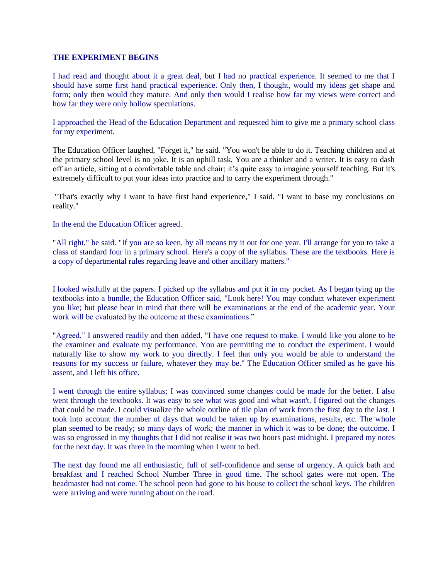## <span id="page-2-0"></span>**THE EXPERIMENT BEGINS**

I had read and thought about it a great deal, but I had no practical experience. It seemed to me that I should have some first hand practical experience. Only then, I thought, would my ideas get shape and form; only then would they mature. And only then would I realise how far my views were correct and how far they were only hollow speculations.

I approached the Head of the Education Department and requested him to give me a primary school class for my experiment.

The Education Officer laughed, "Forget it," he said. "You won't be able to do it. Teaching children and at the primary school level is no joke. It is an uphill task. You are a thinker and a writer. It is easy to dash off an article, sitting at a comfortable table and chair; it's quite easy to imagine yourself teaching. But it's extremely difficult to put your ideas into practice and to carry the experiment through."

"That's exactly why I want to have first hand experience," I said. "I want to base my conclusions on reality."

In the end the Education Officer agreed.

"All right," he said. "If you are so keen, by all means try it out for one year. I'll arrange for you to take a class of standard four in a primary school. Here's a copy of the syllabus. These are the textbooks. Here is a copy of departmental rules regarding leave and other ancillary matters."

I looked wistfully at the papers. I picked up the syllabus and put it in my pocket. As I began tying up the textbooks into a bundle, the Education Officer said, "Look here! You may conduct whatever experiment you like; but please bear in mind that there will be examinations at the end of the academic year. Your work will be evaluated by the outcome at these examinations."

"Agreed," I answered readily and then added, "I have one request to make. I would like you alone to be the examiner and evaluate my performance. You are permitting me to conduct the experiment. I would naturally like to show my work to you directly. I feel that only you would be able to understand the reasons for my success or failure, whatever they may be." The Education Officer smiled as he gave his assent, and I left his office.

I went through the entire syllabus; I was convinced some changes could be made for the better. I also went through the textbooks. It was easy to see what was good and what wasn't. I figured out the changes that could be made. I could visualize the whole outline of tile plan of work from the first day to the last. I took into account the number of days that would be taken up by examinations, results, etc. The whole plan seemed to be ready; so many days of work; the manner in which it was to be done; the outcome. I was so engrossed in my thoughts that I did not realise it was two hours past midnight. I prepared my notes for the next day. It was three in the morning when I went to bed.

The next day found me all enthusiastic, full of self-confidence and sense of urgency. A quick bath and breakfast and I reached School Number Three in good time. The school gates were not open. The headmaster had not come. The school peon had gone to his house to collect the school keys. The children were arriving and were running about on the road.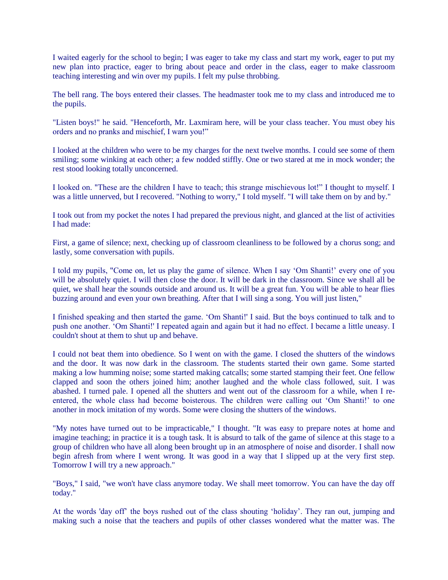I waited eagerly for the school to begin; I was eager to take my class and start my work, eager to put my new plan into practice, eager to bring about peace and order in the class, eager to make classroom teaching interesting and win over my pupils. I felt my pulse throbbing.

The bell rang. The boys entered their classes. The headmaster took me to my class and introduced me to the pupils.

"Listen boys!" he said. "Henceforth, Mr. Laxmiram here, will be your class teacher. You must obey his orders and no pranks and mischief, I warn you!"

I looked at the children who were to be my charges for the next twelve months. I could see some of them smiling; some winking at each other; a few nodded stiffly. One or two stared at me in mock wonder; the rest stood looking totally unconcerned.

I looked on. "These are the children I have to teach; this strange mischievous lot!" I thought to myself. I was a little unnerved, but I recovered. "Nothing to worry," I told myself. "I will take them on by and by."

I took out from my pocket the notes I had prepared the previous night, and glanced at the list of activities I had made:

First, a game of silence; next, checking up of classroom cleanliness to be followed by a chorus song; and lastly, some conversation with pupils.

I told my pupils, "Come on, let us play the game of silence. When I say 'Om Shanti!' every one of you will be absolutely quiet. I will then close the door. It will be dark in the classroom. Since we shall all be quiet, we shall hear the sounds outside and around us. It will be a great fun. You will be able to hear flies buzzing around and even your own breathing. After that I will sing a song. You will just listen,"

I finished speaking and then started the game. 'Om Shanti!' I said. But the boys continued to talk and to push one another. 'Om Shanti!' I repeated again and again but it had no effect. I became a little uneasy. I couldn't shout at them to shut up and behave.

I could not beat them into obedience. So I went on with the game. I closed the shutters of the windows and the door. It was now dark in the classroom. The students started their own game. Some started making a low humming noise; some started making catcalls; some started stamping their feet. One fellow clapped and soon the others joined him; another laughed and the whole class followed, suit. I was abashed. I turned pale. I opened all the shutters and went out of the classroom for a while, when I reentered, the whole class had become boisterous. The children were calling out 'Om Shanti!' to one another in mock imitation of my words. Some were closing the shutters of the windows.

"My notes have turned out to be impracticable," I thought. "It was easy to prepare notes at home and imagine teaching; in practice it is a tough task. It is absurd to talk of the game of silence at this stage to a group of children who have all along been brought up in an atmosphere of noise and disorder. I shall now begin afresh from where I went wrong. It was good in a way that I slipped up at the very first step. Tomorrow I will try a new approach."

"Boys," I said, "we won't have class anymore today. We shall meet tomorrow. You can have the day off today."

At the words 'day off' the boys rushed out of the class shouting 'holiday'. They ran out, jumping and making such a noise that the teachers and pupils of other classes wondered what the matter was. The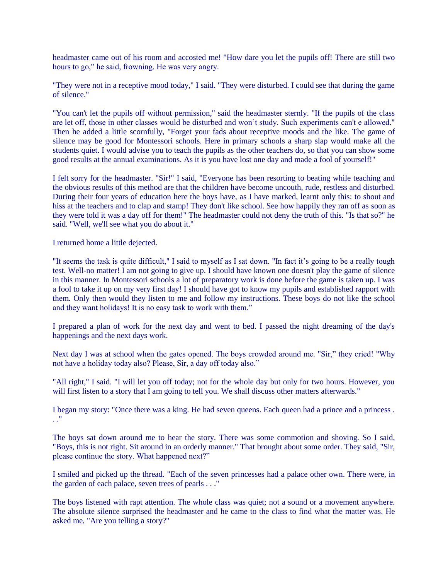headmaster came out of his room and accosted me! "How dare you let the pupils off! There are still two hours to go," he said, frowning. He was very angry.

"They were not in a receptive mood today," I said. "They were disturbed. I could see that during the game of silence."

"You can't let the pupils off without permission," said the headmaster sternly. "If the pupils of the class are let off, those in other classes would be disturbed and won't study. Such experiments can't e allowed." Then he added a little scornfully, "Forget your fads about receptive moods and the like. The game of silence may be good for Montessori schools. Here in primary schools a sharp slap would make all the students quiet. I would advise you to teach the pupils as the other teachers do, so that you can show some good results at the annual examinations. As it is you have lost one day and made a fool of yourself!"

I felt sorry for the headmaster. "Sir!" I said, "Everyone has been resorting to beating while teaching and the obvious results of this method are that the children have become uncouth, rude, restless and disturbed. During their four years of education here the boys have, as I have marked, learnt only this: to shout and hiss at the teachers and to clap and stamp! They don't like school. See how happily they ran off as soon as they were told it was a day off for them!" The headmaster could not deny the truth of this. "Is that so?" he said. "Well, we'll see what you do about it."

I returned home a little dejected.

"It seems the task is quite difficult," I said to myself as I sat down. "In fact it's going to be a really tough test. Well-no matter! I am not going to give up. I should have known one doesn't play the game of silence in this manner. In Montessori schools a lot of preparatory work is done before the game is taken up. I was a fool to take it up on my very first day! I should have got to know my pupils and established rapport with them. Only then would they listen to me and follow my instructions. These boys do not like the school and they want holidays! It is no easy task to work with them."

I prepared a plan of work for the next day and went to bed. I passed the night dreaming of the day's happenings and the next days work.

Next day I was at school when the gates opened. The boys crowded around me. "Sir," they cried! "Why not have a holiday today also? Please, Sir, a day off today also."

"All right," I said. "I will let you off today; not for the whole day but only for two hours. However, you will first listen to a story that I am going to tell you. We shall discuss other matters afterwards."

I began my story: "Once there was a king. He had seven queens. Each queen had a prince and a princess . . ."

The boys sat down around me to hear the story. There was some commotion and shoving. So I said, "Boys, this is not right. Sit around in an orderly manner." That brought about some order. They said, "Sir, please continue the story. What happened next?"

I smiled and picked up the thread. "Each of the seven princesses had a palace other own. There were, in the garden of each palace, seven trees of pearls . . ."

The boys listened with rapt attention. The whole class was quiet; not a sound or a movement anywhere. The absolute silence surprised the headmaster and he came to the class to find what the matter was. He asked me, "Are you telling a story?"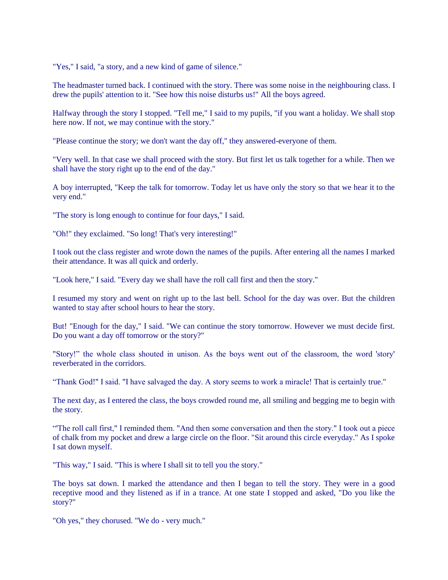"Yes," I said, "a story, and a new kind of game of silence."

The headmaster turned back. I continued with the story. There was some noise in the neighbouring class. I drew the pupils' attention to it. "See how this noise disturbs us!" All the boys agreed.

Halfway through the story I stopped. "Tell me," I said to my pupils, "if you want a holiday. We shall stop here now. If not, we may continue with the story."

"Please continue the story; we don't want the day off," they answered-everyone of them.

"Very well. In that case we shall proceed with the story. But first let us talk together for a while. Then we shall have the story right up to the end of the day."

A boy interrupted, "Keep the talk for tomorrow. Today let us have only the story so that we hear it to the very end."

"The story is long enough to continue for four days," I said.

"Oh!" they exclaimed. "So long! That's very interesting!"

I took out the class register and wrote down the names of the pupils. After entering all the names I marked their attendance. It was all quick and orderly.

"Look here," I said. "Every day we shall have the roll call first and then the story."

I resumed my story and went on right up to the last bell. School for the day was over. But the children wanted to stay after school hours to hear the story.

But! "Enough for the day," I said. "We can continue the story tomorrow. However we must decide first. Do you want a day off tomorrow or the story?"

"Story!" the whole class shouted in unison. As the boys went out of the classroom, the word 'story' reverberated in the corridors.

"Thank God!" I said. "I have salvaged the day. A story seems to work a miracle! That is certainly true."

The next day, as I entered the class, the boys crowded round me, all smiling and begging me to begin with the story.

"'The roll call first," I reminded them. "And then some conversation and then the story." I took out a piece of chalk from my pocket and drew a large circle on the floor. "Sit around this circle everyday." As I spoke I sat down myself.

"This way," I said. "This is where I shall sit to tell you the story."

The boys sat down. I marked the attendance and then I began to tell the story. They were in a good receptive mood and they listened as if in a trance. At one state I stopped and asked, "Do you like the story?"

"Oh yes," they chorused. "We do - very much."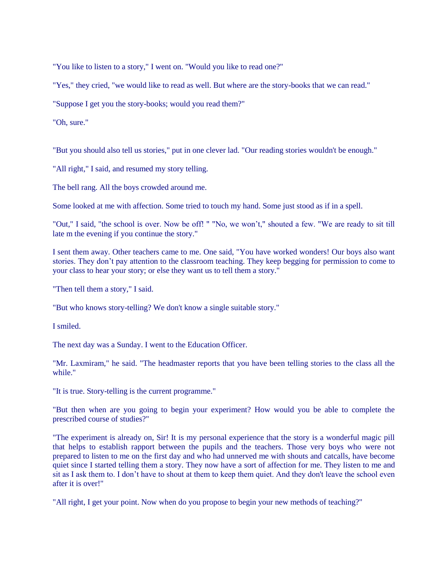"You like to listen to a story," I went on. "Would you like to read one?"

"Yes," they cried, "we would like to read as well. But where are the story-books that we can read."

"Suppose I get you the story-books; would you read them?"

"Oh, sure."

"But you should also tell us stories," put in one clever lad. "Our reading stories wouldn't be enough."

"All right," I said, and resumed my story telling.

The bell rang. All the boys crowded around me.

Some looked at me with affection. Some tried to touch my hand. Some just stood as if in a spell.

"Out," I said, "the school is over. Now be off! " "No, we won't," shouted a few. "We are ready to sit till late m the evening if you continue the story."

I sent them away. Other teachers came to me. One said, "You have worked wonders! Our boys also want stories. They don't pay attention to the classroom teaching. They keep begging for permission to come to your class to hear your story; or else they want us to tell them a story."

"Then tell them a story," I said.

"But who knows story-telling? We don't know a single suitable story."

I smiled.

The next day was a Sunday. I went to the Education Officer.

"Mr. Laxmiram," he said. "The headmaster reports that you have been telling stories to the class all the while."

"It is true. Story-telling is the current programme."

"But then when are you going to begin your experiment? How would you be able to complete the prescribed course of studies?"

"The experiment is already on, Sir! It is my personal experience that the story is a wonderful magic pill that helps to establish rapport between the pupils and the teachers. Those very boys who were not prepared to listen to me on the first day and who had unnerved me with shouts and catcalls, have become quiet since I started telling them a story. They now have a sort of affection for me. They listen to me and sit as I ask them to. I don't have to shout at them to keep them quiet. And they don't leave the school even after it is over!"

"All right, I get your point. Now when do you propose to begin your new methods of teaching?"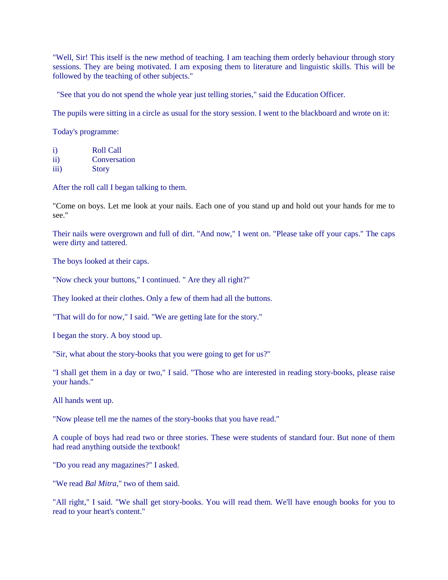"Well, Sir! This itself is the new method of teaching. I am teaching them orderly behaviour through story sessions. They are being motivated. I am exposing them to literature and linguistic skills. This will be followed by the teaching of other subjects."

"See that you do not spend the whole year just telling stories," said the Education Officer.

The pupils were sitting in a circle as usual for the story session. I went to the blackboard and wrote on it:

Today's programme:

| $\ddot{i}$ | Roll Call    |
|------------|--------------|
| $\rm ii)$  | Conversation |
| iii)       | <b>Story</b> |

After the roll call I began talking to them.

"Come on boys. Let me look at your nails. Each one of you stand up and hold out your hands for me to see."

Their nails were overgrown and full of dirt. "And now," I went on. "Please take off your caps." The caps were dirty and tattered.

The boys looked at their caps.

"Now check your buttons," I continued. " Are they all right?"

They looked at their clothes. Only a few of them had all the buttons.

"That will do for now," I said. "We are getting late for the story."

I began the story. A boy stood up.

"Sir, what about the story-books that you were going to get for us?"

"I shall get them in a day or two," I said. "Those who are interested in reading story-books, please raise your hands."

All hands went up.

"Now please tell me the names of the story-books that you have read."

A couple of boys had read two or three stories. These were students of standard four. But none of them had read anything outside the textbook!

"Do you read any magazines?" I asked.

"We read *Bal Mitra*," two of them said.

"All right," I said. "We shall get story-books. You will read them. We'll have enough books for you to read to your heart's content."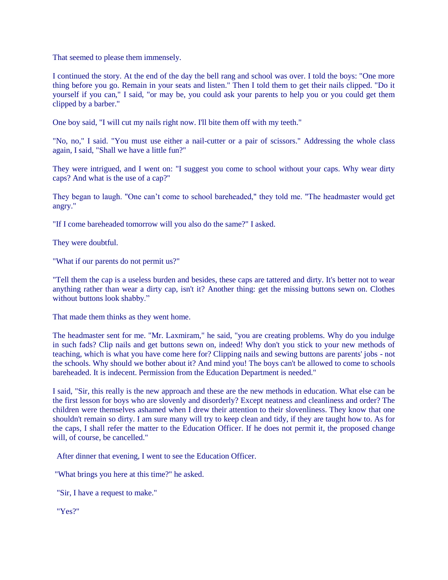That seemed to please them immensely.

I continued the story. At the end of the day the bell rang and school was over. I told the boys: "One more thing before you go. Remain in your seats and listen." Then I told them to get their nails clipped. "Do it yourself if you can," I said, "or may be, you could ask your parents to help you or you could get them clipped by a barber."

One boy said, "I will cut my nails right now. I'll bite them off with my teeth."

"No, no," I said. "You must use either a nail-cutter or a pair of scissors." Addressing the whole class again, I said, "Shall we have a little fun?"

They were intrigued, and I went on: "I suggest you come to school without your caps. Why wear dirty caps? And what is the use of a cap?"

They began to laugh. "One can't come to school bareheaded," they told me. "The headmaster would get angry."

"If I come bareheaded tomorrow will you also do the same?" I asked.

They were doubtful.

"What if our parents do not permit us?"

"Tell them the cap is a useless burden and besides, these caps are tattered and dirty. It's better not to wear anything rather than wear a dirty cap, isn't it? Another thing: get the missing buttons sewn on. Clothes without buttons look shabby."

That made them thinks as they went home.

The headmaster sent for me. "Mr. Laxmiram," he said, "you are creating problems. Why do you indulge in such fads? Clip nails and get buttons sewn on, indeed! Why don't you stick to your new methods of teaching, which is what you have come here for? Clipping nails and sewing buttons are parents' jobs - not the schools. Why should we bother about it? And mind you! The boys can't be allowed to come to schools bareheaded. It is indecent. Permission from the Education Department is needed."

I said, "Sir, this really is the new approach and these are the new methods in education. What else can be the first lesson for boys who are slovenly and disorderly? Except neatness and cleanliness and order? The children were themselves ashamed when I drew their attention to their slovenliness. They know that one shouldn't remain so dirty. I am sure many will try to keep clean and tidy, if they are taught how to. As for the caps, I shall refer the matter to the Education Officer. If he does not permit it, the proposed change will, of course, be cancelled."

After dinner that evening, I went to see the Education Officer.

"What brings you here at this time?" he asked.

"Sir, I have a request to make."

"Yes?"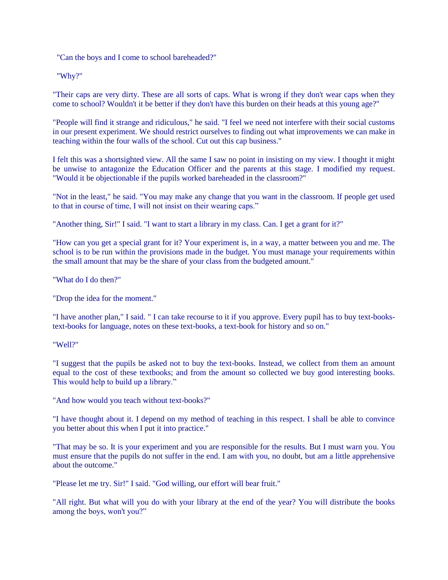"Can the boys and I come to school bareheaded?"

"Why?"

"Their caps are very dirty. These are all sorts of caps. What is wrong if they don't wear caps when they come to school? Wouldn't it be better if they don't have this burden on their heads at this young age?"

"People will find it strange and ridiculous," he said. "I feel we need not interfere with their social customs in our present experiment. We should restrict ourselves to finding out what improvements we can make in teaching within the four walls of the school. Cut out this cap business."

I felt this was a shortsighted view. All the same I saw no point in insisting on my view. I thought it might be unwise to antagonize the Education Officer and the parents at this stage. I modified my request. "Would it be objectionable if the pupils worked bareheaded in the classroom?"

"Not in the least," he said. "You may make any change that you want in the classroom. If people get used to that in course of time, I will not insist on their wearing caps."

"Another thing, Sir!" I said. "I want to start a library in my class. Can. I get a grant for it?"

"How can you get a special grant for it? Your experiment is, in a way, a matter between you and me. The school is to be run within the provisions made in the budget. You must manage your requirements within the small amount that may be the share of your class from the budgeted amount."

"What do I do then?"

"Drop the idea for the moment."

"I have another plan," I said. " I can take recourse to it if you approve. Every pupil has to buy text-bookstext-books for language, notes on these text-books, a text-book for history and so on."

"Well?"

"I suggest that the pupils be asked not to buy the text-books. Instead, we collect from them an amount equal to the cost of these textbooks; and from the amount so collected we buy good interesting books. This would help to build up a library."

"And how would you teach without text-books?"

"I have thought about it. I depend on my method of teaching in this respect. I shall be able to convince you better about this when I put it into practice."

"That may be so. It is your experiment and you are responsible for the results. But I must warn you. You must ensure that the pupils do not suffer in the end. I am with you, no doubt, but am a little apprehensive about the outcome."

"Please let me try. Sir!" I said. "God willing, our effort will bear fruit."

"All right. But what will you do with your library at the end of the year? You will distribute the books among the boys, won't you?"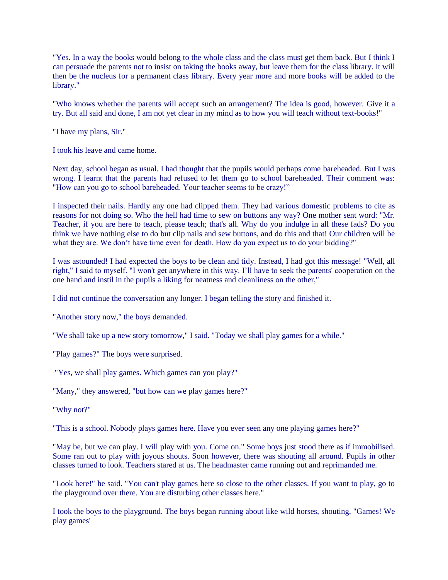"Yes. In a way the books would belong to the whole class and the class must get them back. But I think I can persuade the parents not to insist on taking the books away, but leave them for the class library. It will then be the nucleus for a permanent class library. Every year more and more books will be added to the library."

"Who knows whether the parents will accept such an arrangement? The idea is good, however. Give it a try. But all said and done, I am not yet clear in my mind as to how you will teach without text-books!"

"I have my plans, Sir."

I took his leave and came home.

Next day, school began as usual. I had thought that the pupils would perhaps come bareheaded. But I was wrong. I learnt that the parents had refused to let them go to school bareheaded. Their comment was: "How can you go to school bareheaded. Your teacher seems to be crazy!"

I inspected their nails. Hardly any one had clipped them. They had various domestic problems to cite as reasons for not doing so. Who the hell had time to sew on buttons any way? One mother sent word: "Mr. Teacher, if you are here to teach, please teach; that's all. Why do you indulge in all these fads? Do you think we have nothing else to do but clip nails and sew buttons, and do this and that! Our children will be what they are. We don't have time even for death. How do you expect us to do your bidding?"

I was astounded! I had expected the boys to be clean and tidy. Instead, I had got this message! "Well, all right," I said to myself. "I won't get anywhere in this way. I'll have to seek the parents' cooperation on the one hand and instil in the pupils a liking for neatness and cleanliness on the other,"

I did not continue the conversation any longer. I began telling the story and finished it.

"Another story now," the boys demanded.

"We shall take up a new story tomorrow," I said. "Today we shall play games for a while."

"Play games?" The boys were surprised.

"Yes, we shall play games. Which games can you play?"

"Many," they answered, "but how can we play games here?"

"Why not?"

"This is a school. Nobody plays games here. Have you ever seen any one playing games here?"

"May be, but we can play. I will play with you. Come on." Some boys just stood there as if immobilised. Some ran out to play with joyous shouts. Soon however, there was shouting all around. Pupils in other classes turned to look. Teachers stared at us. The headmaster came running out and reprimanded me.

"Look here!" he said. "You can't play games here so close to the other classes. If you want to play, go to the playground over there. You are disturbing other classes here."

I took the boys to the playground. The boys began running about like wild horses, shouting, "Games! We play games'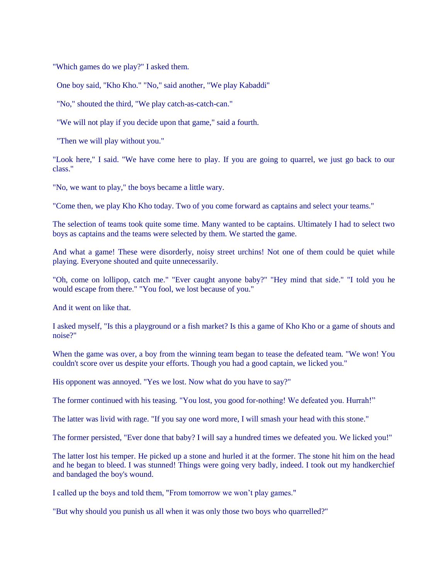"Which games do we play?" I asked them.

One boy said, "Kho Kho." "No," said another, "We play Kabaddi"

"No," shouted the third, "We play catch-as-catch-can."

"We will not play if you decide upon that game," said a fourth.

"Then we will play without you."

"Look here," I said. "We have come here to play. If you are going to quarrel, we just go back to our class."

"No, we want to play," the boys became a little wary.

"Come then, we play Kho Kho today. Two of you come forward as captains and select your teams."

The selection of teams took quite some time. Many wanted to be captains. Ultimately I had to select two boys as captains and the teams were selected by them. We started the game.

And what a game! These were disorderly, noisy street urchins! Not one of them could be quiet while playing. Everyone shouted and quite unnecessarily.

"Oh, come on lollipop, catch me." "Ever caught anyone baby?" "Hey mind that side." "I told you he would escape from there." "You fool, we lost because of you."

And it went on like that.

I asked myself, "Is this a playground or a fish market? Is this a game of Kho Kho or a game of shouts and noise?"

When the game was over, a boy from the winning team began to tease the defeated team. "We won! You couldn't score over us despite your efforts. Though you had a good captain, we licked you."

His opponent was annoyed. "Yes we lost. Now what do you have to say?"

The former continued with his teasing. "You lost, you good for-nothing! We defeated you. Hurrah!"

The latter was livid with rage. "If you say one word more, I will smash your head with this stone."

The former persisted, "Ever done that baby? I will say a hundred times we defeated you. We licked you!"

The latter lost his temper. He picked up a stone and hurled it at the former. The stone hit him on the head and he began to bleed. I was stunned! Things were going very badly, indeed. I took out my handkerchief and bandaged the boy's wound.

I called up the boys and told them, "From tomorrow we won't play games."

"But why should you punish us all when it was only those two boys who quarrelled?"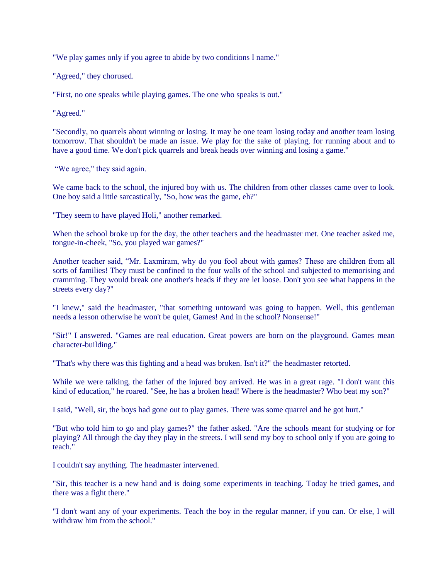"We play games only if you agree to abide by two conditions I name."

"Agreed," they chorused.

"First, no one speaks while playing games. The one who speaks is out."

"Agreed."

"Secondly, no quarrels about winning or losing. It may be one team losing today and another team losing tomorrow. That shouldn't be made an issue. We play for the sake of playing, for running about and to have a good time. We don't pick quarrels and break heads over winning and losing a game."

"We agree," they said again.

We came back to the school, the injured boy with us. The children from other classes came over to look. One boy said a little sarcastically, "So, how was the game, eh?"

"They seem to have played Holi," another remarked.

When the school broke up for the day, the other teachers and the headmaster met. One teacher asked me, tongue-in-cheek, "So, you played war games?"

Another teacher said, "Mr. Laxmiram, why do you fool about with games? These are children from all sorts of families! They must be confined to the four walls of the school and subjected to memorising and cramming. They would break one another's heads if they are let loose. Don't you see what happens in the streets every day?"

"I knew," said the headmaster, "that something untoward was going to happen. Well, this gentleman needs a lesson otherwise he won't be quiet, Games! And in the school? Nonsense!"

"Sir!" I answered. "Games are real education. Great powers are born on the playground. Games mean character-building."

"That's why there was this fighting and a head was broken. Isn't it?" the headmaster retorted.

While we were talking, the father of the injured boy arrived. He was in a great rage. "I don't want this kind of education," he roared. "See, he has a broken head! Where is the headmaster? Who beat my son?"

I said, "Well, sir, the boys had gone out to play games. There was some quarrel and he got hurt."

"But who told him to go and play games?" the father asked. "Are the schools meant for studying or for playing? All through the day they play in the streets. I will send my boy to school only if you are going to teach."

I couldn't say anything. The headmaster intervened.

"Sir, this teacher is a new hand and is doing some experiments in teaching. Today he tried games, and there was a fight there."

"I don't want any of your experiments. Teach the boy in the regular manner, if you can. Or else, I will withdraw him from the school."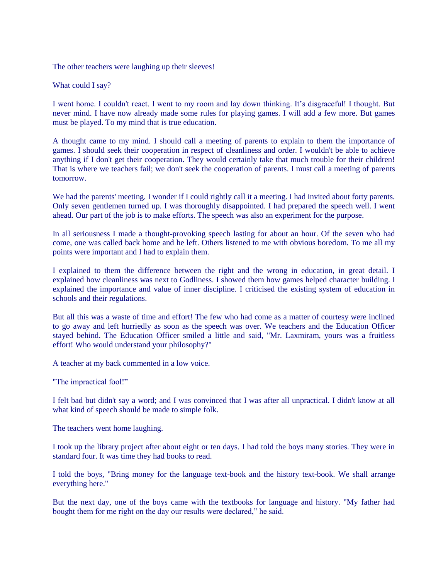The other teachers were laughing up their sleeves!

What could I say?

I went home. I couldn't react. I went to my room and lay down thinking. It's disgraceful! I thought. But never mind. I have now already made some rules for playing games. I will add a few more. But games must be played. To my mind that is true education.

A thought came to my mind. I should call a meeting of parents to explain to them the importance of games. I should seek their cooperation in respect of cleanliness and order. I wouldn't be able to achieve anything if I don't get their cooperation. They would certainly take that much trouble for their children! That is where we teachers fail; we don't seek the cooperation of parents. I must call a meeting of parents tomorrow.

We had the parents' meeting. I wonder if I could rightly call it a meeting. I had invited about forty parents. Only seven gentlemen turned up. I was thoroughly disappointed. I had prepared the speech well. I went ahead. Our part of the job is to make efforts. The speech was also an experiment for the purpose.

In all seriousness I made a thought-provoking speech lasting for about an hour. Of the seven who had come, one was called back home and he left. Others listened to me with obvious boredom. To me all my points were important and I had to explain them.

I explained to them the difference between the right and the wrong in education, in great detail. I explained how cleanliness was next to Godliness. I showed them how games helped character building. I explained the importance and value of inner discipline. I criticised the existing system of education in schools and their regulations.

But all this was a waste of time and effort! The few who had come as a matter of courtesy were inclined to go away and left hurriedly as soon as the speech was over. We teachers and the Education Officer stayed behind. The Education Officer smiled a little and said, "Mr. Laxmiram, yours was a fruitless effort! Who would understand your philosophy?"

A teacher at my back commented in a low voice.

"The impractical fool!"

I felt bad but didn't say a word; and I was convinced that I was after all unpractical. I didn't know at all what kind of speech should be made to simple folk.

The teachers went home laughing.

I took up the library project after about eight or ten days. I had told the boys many stories. They were in standard four. It was time they had books to read.

I told the boys, "Bring money for the language text-book and the history text-book. We shall arrange everything here."

But the next day, one of the boys came with the textbooks for language and history. "My father had bought them for me right on the day our results were declared," he said.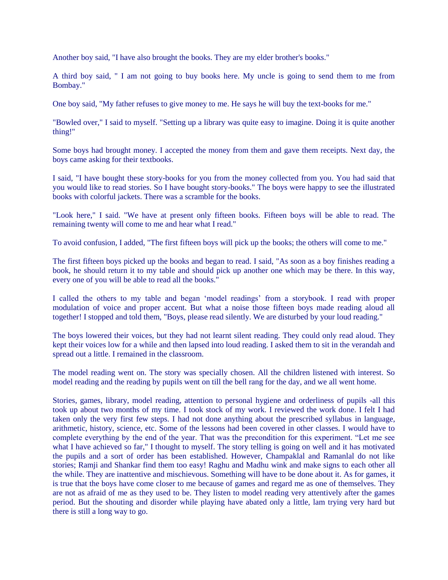Another boy said, "I have also brought the books. They are my elder brother's books."

A third boy said, " I am not going to buy books here. My uncle is going to send them to me from Bombay."

One boy said, "My father refuses to give money to me. He says he will buy the text-books for me."

"Bowled over," I said to myself. "Setting up a library was quite easy to imagine. Doing it is quite another thing!"

Some boys had brought money. I accepted the money from them and gave them receipts. Next day, the boys came asking for their textbooks.

I said, "I have bought these story-books for you from the money collected from you. You had said that you would like to read stories. So I have bought story-books." The boys were happy to see the illustrated books with colorful jackets. There was a scramble for the books.

"Look here," I said. "We have at present only fifteen books. Fifteen boys will be able to read. The remaining twenty will come to me and hear what I read."

To avoid confusion, I added, "The first fifteen boys will pick up the books; the others will come to me."

The first fifteen boys picked up the books and began to read. I said, "As soon as a boy finishes reading a book, he should return it to my table and should pick up another one which may be there. In this way, every one of you will be able to read all the books."

I called the others to my table and began 'model readings' from a storybook. I read with proper modulation of voice and proper accent. But what a noise those fifteen boys made reading aloud all together! I stopped and told them, "Boys, please read silently. We are disturbed by your loud reading."

The boys lowered their voices, but they had not learnt silent reading. They could only read aloud. They kept their voices low for a while and then lapsed into loud reading. I asked them to sit in the verandah and spread out a little. I remained in the classroom.

The model reading went on. The story was specially chosen. All the children listened with interest. So model reading and the reading by pupils went on till the bell rang for the day, and we all went home.

Stories, games, library, model reading, attention to personal hygiene and orderliness of pupils -all this took up about two months of my time. I took stock of my work. I reviewed the work done. I felt I had taken only the very first few steps. I had not done anything about the prescribed syllabus in language, arithmetic, history, science, etc. Some of the lessons had been covered in other classes. I would have to complete everything by the end of the year. That was the precondition for this experiment. "Let me see what I have achieved so far," I thought to myself. The story telling is going on well and it has motivated the pupils and a sort of order has been established. However, Champaklal and Ramanlal do not like stories; Ramji and Shankar find them too easy! Raghu and Madhu wink and make signs to each other all the while. They are inattentive and mischievous. Something will have to be done about it. As for games, it is true that the boys have come closer to me because of games and regard me as one of themselves. They are not as afraid of me as they used to be. They listen to model reading very attentively after the games period. But the shouting and disorder while playing have abated only a little, lam trying very hard but there is still a long way to go.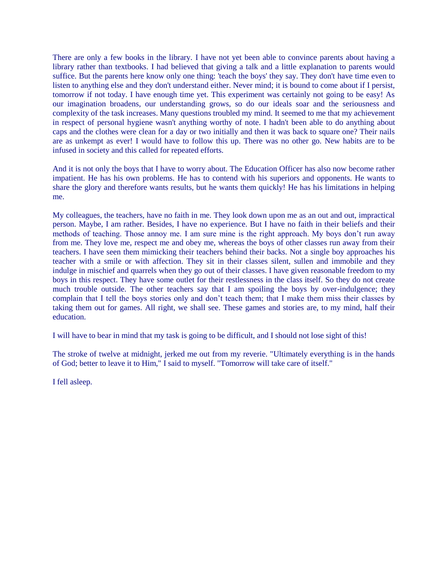There are only a few books in the library. I have not yet been able to convince parents about having a library rather than textbooks. I had believed that giving a talk and a little explanation to parents would suffice. But the parents here know only one thing: 'teach the boys' they say. They don't have time even to listen to anything else and they don't understand either. Never mind; it is bound to come about if I persist, tomorrow if not today. I have enough time yet. This experiment was certainly not going to be easy! As our imagination broadens, our understanding grows, so do our ideals soar and the seriousness and complexity of the task increases. Many questions troubled my mind. It seemed to me that my achievement in respect of personal hygiene wasn't anything worthy of note. I hadn't been able to do anything about caps and the clothes were clean for a day or two initially and then it was back to square one? Their nails are as unkempt as ever! I would have to follow this up. There was no other go. New habits are to be infused in society and this called for repeated efforts.

And it is not only the boys that I have to worry about. The Education Officer has also now become rather impatient. He has his own problems. He has to contend with his superiors and opponents. He wants to share the glory and therefore wants results, but he wants them quickly! He has his limitations in helping me.

My colleagues, the teachers, have no faith in me. They look down upon me as an out and out, impractical person. Maybe, I am rather. Besides, I have no experience. But I have no faith in their beliefs and their methods of teaching. Those annoy me. I am sure mine is the right approach. My boys don't run away from me. They love me, respect me and obey me, whereas the boys of other classes run away from their teachers. I have seen them mimicking their teachers behind their backs. Not a single boy approaches his teacher with a smile or with affection. They sit in their classes silent, sullen and immobile and they indulge in mischief and quarrels when they go out of their classes. I have given reasonable freedom to my boys in this respect. They have some outlet for their restlessness in the class itself. So they do not create much trouble outside. The other teachers say that I am spoiling the boys by over-indulgence; they complain that I tell the boys stories only and don't teach them; that I make them miss their classes by taking them out for games. All right, we shall see. These games and stories are, to my mind, half their education.

I will have to bear in mind that my task is going to be difficult, and I should not lose sight of this!

The stroke of twelve at midnight, jerked me out from my reverie. "Ultimately everything is in the hands of God; better to leave it to Him," I said to myself. "Tomorrow will take care of itself."

I fell asleep.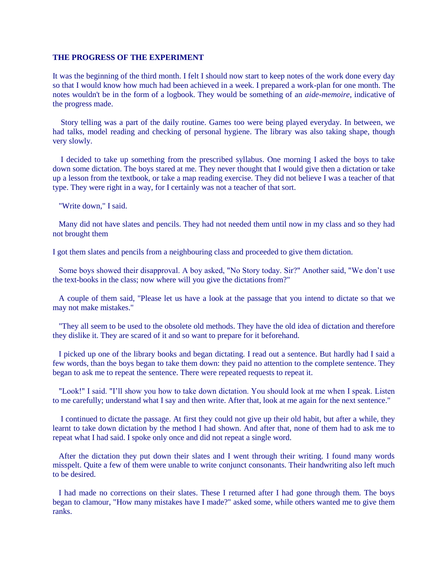#### <span id="page-16-0"></span>**THE PROGRESS OF THE EXPERIMENT**

It was the beginning of the third month. I felt I should now start to keep notes of the work done every day so that I would know how much had been achieved in a week. I prepared a work-plan for one month. The notes wouldn't be in the form of a logbook. They would be something of an *aide-memoire*, indicative of the progress made.

 Story telling was a part of the daily routine. Games too were being played everyday. In between, we had talks, model reading and checking of personal hygiene. The library was also taking shape, though very slowly.

 I decided to take up something from the prescribed syllabus. One morning I asked the boys to take down some dictation. The boys stared at me. They never thought that I would give then a dictation or take up a lesson from the textbook, or take a map reading exercise. They did not believe I was a teacher of that type. They were right in a way, for I certainly was not a teacher of that sort.

"Write down," I said.

 Many did not have slates and pencils. They had not needed them until now in my class and so they had not brought them

I got them slates and pencils from a neighbouring class and proceeded to give them dictation.

 Some boys showed their disapproval. A boy asked, "No Story today. Sir?" Another said, "We don't use the text-books in the class; now where will you give the dictations from?"

 A couple of them said, "Please let us have a look at the passage that you intend to dictate so that we may not make mistakes."

 "They all seem to be used to the obsolete old methods. They have the old idea of dictation and therefore they dislike it. They are scared of it and so want to prepare for it beforehand.

 I picked up one of the library books and began dictating. I read out a sentence. But hardly had I said a few words, than the boys began to take them down: they paid no attention to the complete sentence. They began to ask me to repeat the sentence. There were repeated requests to repeat it.

 "Look!" I said. "I'll show you how to take down dictation. You should look at me when I speak. Listen to me carefully; understand what I say and then write. After that, look at me again for the next sentence."

 I continued to dictate the passage. At first they could not give up their old habit, but after a while, they learnt to take down dictation by the method I had shown. And after that, none of them had to ask me to repeat what I had said. I spoke only once and did not repeat a single word.

 After the dictation they put down their slates and I went through their writing. I found many words misspelt. Quite a few of them were unable to write conjunct consonants. Their handwriting also left much to be desired.

 I had made no corrections on their slates. These I returned after I had gone through them. The boys began to clamour, "How many mistakes have I made?" asked some, while others wanted me to give them ranks.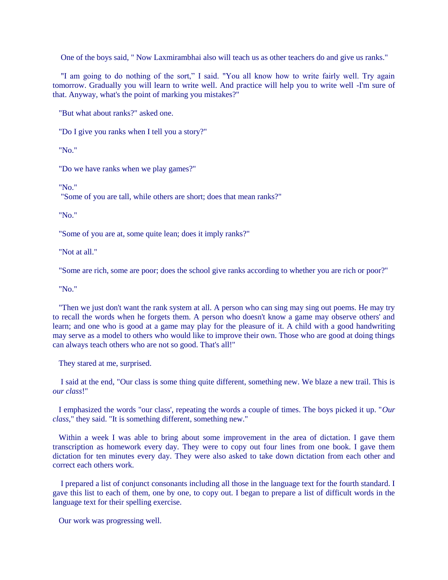One of the boys said, " Now Laxmirambhai also will teach us as other teachers do and give us ranks."

 "I am going to do nothing of the sort," I said. "You all know how to write fairly well. Try again tomorrow. Gradually you will learn to write well. And practice will help you to write well -I'm sure of that. Anyway, what's the point of marking you mistakes?"

"But what about ranks?" asked one.

"Do I give you ranks when I tell you a story?"

"No."

"Do we have ranks when we play games?"

"No."

"Some of you are tall, while others are short; does that mean ranks?"

"No."

"Some of you are at, some quite lean; does it imply ranks?"

"Not at all."

"Some are rich, some are poor; does the school give ranks according to whether you are rich or poor?"

"No."

 "Then we just don't want the rank system at all. A person who can sing may sing out poems. He may try to recall the words when he forgets them. A person who doesn't know a game may observe others' and learn; and one who is good at a game may play for the pleasure of it. A child with a good handwriting may serve as a model to others who would like to improve their own. Those who are good at doing things can always teach others who are not so good. That's all!"

They stared at me, surprised.

 I said at the end, "Our class is some thing quite different, something new. We blaze a new trail. This is *our class*!"

 I emphasized the words "our class', repeating the words a couple of times. The boys picked it up. "*Our class*," they said. "It is something different, something new."

Within a week I was able to bring about some improvement in the area of dictation. I gave them transcription as homework every day. They were to copy out four lines from one book. I gave them dictation for ten minutes every day. They were also asked to take down dictation from each other and correct each others work.

 I prepared a list of conjunct consonants including all those in the language text for the fourth standard. I gave this list to each of them, one by one, to copy out. I began to prepare a list of difficult words in the language text for their spelling exercise.

Our work was progressing well.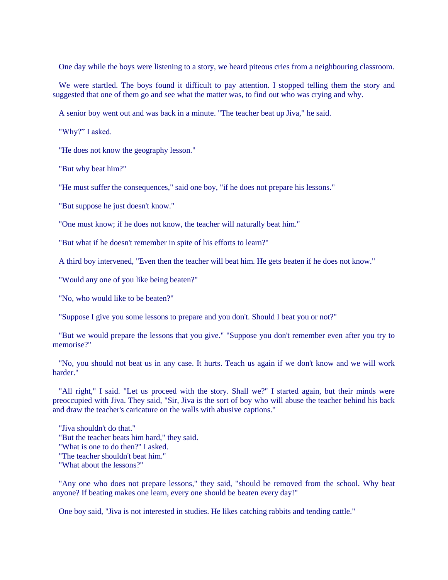One day while the boys were listening to a story, we heard piteous cries from a neighbouring classroom.

We were startled. The boys found it difficult to pay attention. I stopped telling them the story and suggested that one of them go and see what the matter was, to find out who was crying and why.

A senior boy went out and was back in a minute. "The teacher beat up Jiva," he said.

"Why?" I asked.

"He does not know the geography lesson."

"But why beat him?"

"He must suffer the consequences," said one boy, "if he does not prepare his lessons."

"But suppose he just doesn't know."

"One must know; if he does not know, the teacher will naturally beat him."

"But what if he doesn't remember in spite of his efforts to learn?"

A third boy intervened, "Even then the teacher will beat him. He gets beaten if he does not know."

"Would any one of you like being beaten?"

"No, who would like to be beaten?"

"Suppose I give you some lessons to prepare and you don't. Should I beat you or not?"

 "But we would prepare the lessons that you give." "Suppose you don't remember even after you try to memorise?"

 "No, you should not beat us in any case. It hurts. Teach us again if we don't know and we will work harder."

 "All right," I said. "Let us proceed with the story. Shall we?" I started again, but their minds were preoccupied with Jiva. They said, "Sir, Jiva is the sort of boy who will abuse the teacher behind his back and draw the teacher's caricature on the walls with abusive captions."

- "Jiva shouldn't do that."
- "But the teacher beats him hard," they said.
- "What is one to do then?" I asked.
- "The teacher shouldn't beat him."
- "What about the lessons?"

 "Any one who does not prepare lessons," they said, "should be removed from the school. Why beat anyone? If beating makes one learn, every one should be beaten every day!"

One boy said, "Jiva is not interested in studies. He likes catching rabbits and tending cattle."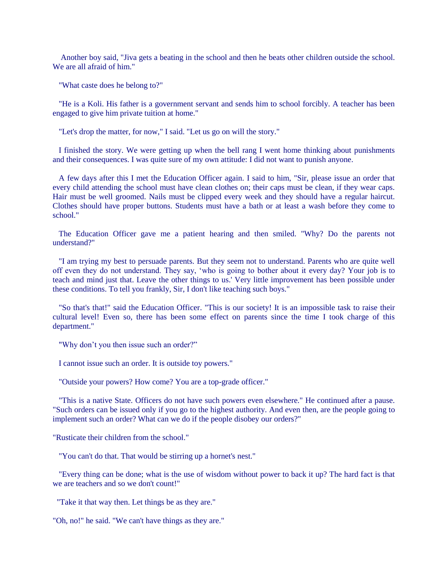Another boy said, "Jiva gets a beating in the school and then he beats other children outside the school. We are all afraid of him."

"What caste does he belong to?"

 "He is a Koli. His father is a government servant and sends him to school forcibly. A teacher has been engaged to give him private tuition at home."

"Let's drop the matter, for now," I said. "Let us go on will the story."

 I finished the story. We were getting up when the bell rang I went home thinking about punishments and their consequences. I was quite sure of my own attitude: I did not want to punish anyone.

 A few days after this I met the Education Officer again. I said to him, "Sir, please issue an order that every child attending the school must have clean clothes on; their caps must be clean, if they wear caps. Hair must be well groomed. Nails must be clipped every week and they should have a regular haircut. Clothes should have proper buttons. Students must have a bath or at least a wash before they come to school."

 The Education Officer gave me a patient hearing and then smiled. "Why? Do the parents not understand?"

 "I am trying my best to persuade parents. But they seem not to understand. Parents who are quite well off even they do not understand. They say, 'who is going to bother about it every day? Your job is to teach and mind just that. Leave the other things to us.' Very little improvement has been possible under these conditions. To tell you frankly, Sir, I don't like teaching such boys."

 "So that's that!" said the Education Officer. "This is our society! It is an impossible task to raise their cultural level! Even so, there has been some effect on parents since the time I took charge of this department."

"Why don't you then issue such an order?"

I cannot issue such an order. It is outside toy powers."

"Outside your powers? How come? You are a top-grade officer."

 "This is a native State. Officers do not have such powers even elsewhere." He continued after a pause. "Such orders can be issued only if you go to the highest authority. And even then, are the people going to implement such an order? What can we do if the people disobey our orders?"

"Rusticate their children from the school."

"You can't do that. That would be stirring up a hornet's nest."

 "Every thing can be done; what is the use of wisdom without power to back it up? The hard fact is that we are teachers and so we don't count!"

"Take it that way then. Let things be as they are."

"Oh, no!" he said. "We can't have things as they are."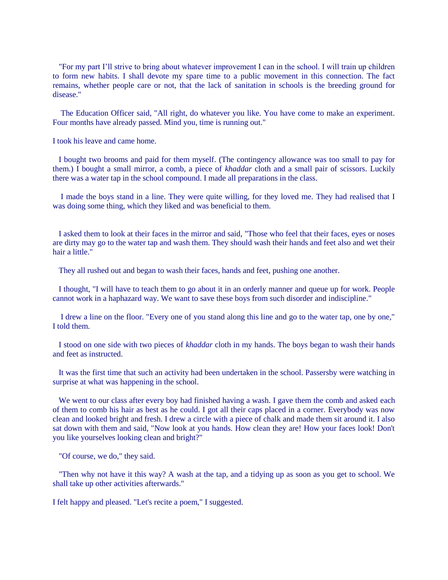"For my part I'll strive to bring about whatever improvement I can in the school. I will train up children to form new habits. I shall devote my spare time to a public movement in this connection. The fact remains, whether people care or not, that the lack of sanitation in schools is the breeding ground for disease."

 The Education Officer said, "All right, do whatever you like. You have come to make an experiment. Four months have already passed. Mind you, time is running out."

I took his leave and came home.

 I bought two brooms and paid for them myself. (The contingency allowance was too small to pay for them.) I bought a small mirror, a comb, a piece of *khaddar* cloth and a small pair of scissors. Luckily there was a water tap in the school compound. I made all preparations in the class.

 I made the boys stand in a line. They were quite willing, for they loved me. They had realised that I was doing some thing, which they liked and was beneficial to them.

 I asked them to look at their faces in the mirror and said, "Those who feel that their faces, eyes or noses are dirty may go to the water tap and wash them. They should wash their hands and feet also and wet their hair a little."

They all rushed out and began to wash their faces, hands and feet, pushing one another.

 I thought, "I will have to teach them to go about it in an orderly manner and queue up for work. People cannot work in a haphazard way. We want to save these boys from such disorder and indiscipline."

 I drew a line on the floor. "Every one of you stand along this line and go to the water tap, one by one," I told them.

 I stood on one side with two pieces of *khaddar* cloth in my hands. The boys began to wash their hands and feet as instructed.

 It was the first time that such an activity had been undertaken in the school. Passersby were watching in surprise at what was happening in the school.

We went to our class after every boy had finished having a wash. I gave them the comb and asked each of them to comb his hair as best as he could. I got all their caps placed in a corner. Everybody was now clean and looked bright and fresh. I drew a circle with a piece of chalk and made them sit around it. I also sat down with them and said, "Now look at you hands. How clean they are! How your faces look! Don't you like yourselves looking clean and bright?"

"Of course, we do," they said.

 "Then why not have it this way? A wash at the tap, and a tidying up as soon as you get to school. We shall take up other activities afterwards."

I felt happy and pleased. "Let's recite a poem," I suggested.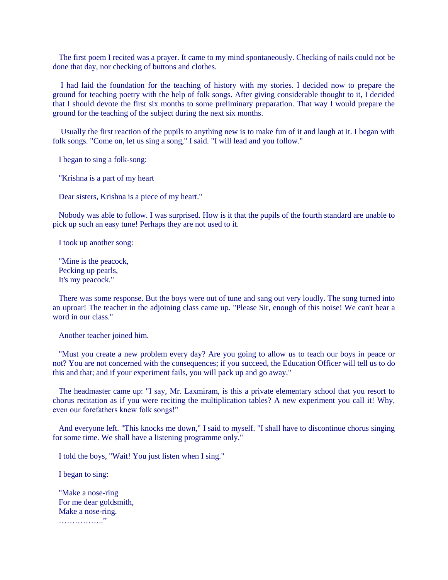The first poem I recited was a prayer. It came to my mind spontaneously. Checking of nails could not be done that day, nor checking of buttons and clothes.

 I had laid the foundation for the teaching of history with my stories. I decided now to prepare the ground for teaching poetry with the help of folk songs. After giving considerable thought to it, I decided that I should devote the first six months to some preliminary preparation. That way I would prepare the ground for the teaching of the subject during the next six months.

 Usually the first reaction of the pupils to anything new is to make fun of it and laugh at it. I began with folk songs. "Come on, let us sing a song," I said. "I will lead and you follow."

I began to sing a folk-song:

"Krishna is a part of my heart

Dear sisters, Krishna is a piece of my heart."

 Nobody was able to follow. I was surprised. How is it that the pupils of the fourth standard are unable to pick up such an easy tune! Perhaps they are not used to it.

I took up another song:

 "Mine is the peacock, Pecking up pearls, It's my peacock."

 There was some response. But the boys were out of tune and sang out very loudly. The song turned into an uproar! The teacher in the adjoining class came up. "Please Sir, enough of this noise! We can't hear a word in our class."

Another teacher joined him.

 "Must you create a new problem every day? Are you going to allow us to teach our boys in peace or not? You are not concerned with the consequences; if you succeed, the Education Officer will tell us to do this and that; and if your experiment fails, you will pack up and go away."

 The headmaster came up: "I say, Mr. Laxmiram, is this a private elementary school that you resort to chorus recitation as if you were reciting the multiplication tables? A new experiment you call it! Why, even our forefathers knew folk songs!"

 And everyone left. "This knocks me down," I said to myself. "I shall have to discontinue chorus singing for some time. We shall have a listening programme only."

I told the boys, "Wait! You just listen when I sing."

I began to sing:

 "Make a nose-ring For me dear goldsmith, Make a nose-ring. ……………………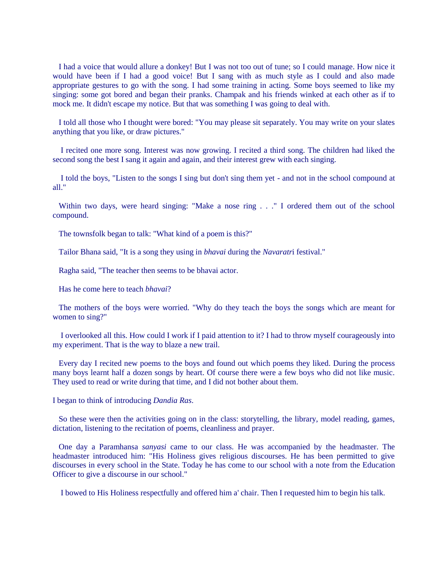I had a voice that would allure a donkey! But I was not too out of tune; so I could manage. How nice it would have been if I had a good voice! But I sang with as much style as I could and also made appropriate gestures to go with the song. I had some training in acting. Some boys seemed to like my singing: some got bored and began their pranks. Champak and his friends winked at each other as if to mock me. It didn't escape my notice. But that was something I was going to deal with.

 I told all those who I thought were bored: "You may please sit separately. You may write on your slates anything that you like, or draw pictures."

 I recited one more song. Interest was now growing. I recited a third song. The children had liked the second song the best I sang it again and again, and their interest grew with each singing.

 I told the boys, "Listen to the songs I sing but don't sing them yet - and not in the school compound at all."

Within two days, were heard singing: "Make a nose ring . . ." I ordered them out of the school compound.

The townsfolk began to talk: "What kind of a poem is this?"

Tailor Bhana said, "It is a song they using in *bhavai* during the *Navaratr*i festival."

Ragha said, "The teacher then seems to be bhavai actor.

Has he come here to teach *bhavai*?

 The mothers of the boys were worried. "Why do they teach the boys the songs which are meant for women to sing?"

 I overlooked all this. How could I work if I paid attention to it? I had to throw myself courageously into my experiment. That is the way to blaze a new trail.

 Every day I recited new poems to the boys and found out which poems they liked. During the process many boys learnt half a dozen songs by heart. Of course there were a few boys who did not like music. They used to read or write during that time, and I did not bother about them.

I began to think of introducing *Dandia Ras*.

 So these were then the activities going on in the class: storytelling, the library, model reading, games, dictation, listening to the recitation of poems, cleanliness and prayer.

 One day a Paramhansa *sanyasi* came to our class. He was accompanied by the headmaster. The headmaster introduced him: "His Holiness gives religious discourses. He has been permitted to give discourses in every school in the State. Today he has come to our school with a note from the Education Officer to give a discourse in our school."

I bowed to His Holiness respectfully and offered him a' chair. Then I requested him to begin his talk.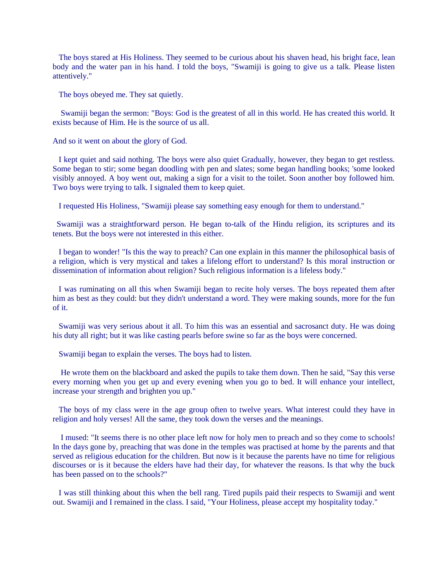The boys stared at His Holiness. They seemed to be curious about his shaven head, his bright face, lean body and the water pan in his hand. I told the boys, "Swamiji is going to give us a talk. Please listen attentively."

The boys obeyed me. They sat quietly.

 Swamiji began the sermon: "Boys: God is the greatest of all in this world. He has created this world. It exists because of Him. He is the source of us all.

And so it went on about the glory of God.

 I kept quiet and said nothing. The boys were also quiet Gradually, however, they began to get restless. Some began to stir; some began doodling with pen and slates; some began handling books; 'some looked visibly annoyed. A boy went out, making a sign for a visit to the toilet. Soon another boy followed him. Two boys were trying to talk. I signaled them to keep quiet.

I requested His Holiness, "Swamiji please say something easy enough for them to understand."

 Swamiji was a straightforward person. He began to-talk of the Hindu religion, its scriptures and its tenets. But the boys were not interested in this either.

 I began to wonder! "Is this the way to preach? Can one explain in this manner the philosophical basis of a religion, which is very mystical and takes a lifelong effort to understand? Is this moral instruction or dissemination of information about religion? Such religious information is a lifeless body."

 I was ruminating on all this when Swamiji began to recite holy verses. The boys repeated them after him as best as they could: but they didn't understand a word. They were making sounds, more for the fun of it.

 Swamiji was very serious about it all. To him this was an essential and sacrosanct duty. He was doing his duty all right; but it was like casting pearls before swine so far as the boys were concerned.

Swamiji began to explain the verses. The boys had to listen.

 He wrote them on the blackboard and asked the pupils to take them down. Then he said, "Say this verse every morning when you get up and every evening when you go to bed. It will enhance your intellect, increase your strength and brighten you up."

 The boys of my class were in the age group often to twelve years. What interest could they have in religion and holy verses! All the same, they took down the verses and the meanings.

 I mused: "It seems there is no other place left now for holy men to preach and so they come to schools! In the days gone by, preaching that was done in the temples was practised at home by the parents and that served as religious education for the children. But now is it because the parents have no time for religious discourses or is it because the elders have had their day, for whatever the reasons. Is that why the buck has been passed on to the schools?"

 I was still thinking about this when the bell rang. Tired pupils paid their respects to Swamiji and went out. Swamiji and I remained in the class. I said, "Your Holiness, please accept my hospitality today."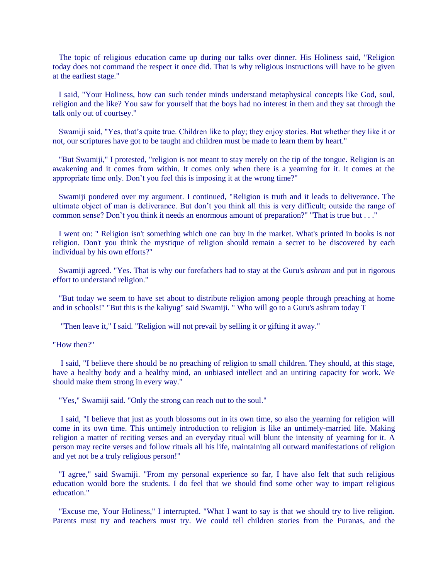The topic of religious education came up during our talks over dinner. His Holiness said, "Religion today does not command the respect it once did. That is why religious instructions will have to be given at the earliest stage."

 I said, "Your Holiness, how can such tender minds understand metaphysical concepts like God, soul, religion and the like? You saw for yourself that the boys had no interest in them and they sat through the talk only out of courtsey."

 Swamiji said, "Yes, that's quite true. Children like to play; they enjoy stories. But whether they like it or not, our scriptures have got to be taught and children must be made to learn them by heart."

 "But Swamiji," I protested, "religion is not meant to stay merely on the tip of the tongue. Religion is an awakening and it comes from within. It comes only when there is a yearning for it. It comes at the appropriate time only. Don't you feel this is imposing it at the wrong time?"

 Swamiji pondered over my argument. I continued, "Religion is truth and it leads to deliverance. The ultimate object of man is deliverance. But don't you think all this is very difficult; outside the range of common sense? Don't you think it needs an enormous amount of preparation?" "That is true but . . ."

 I went on: " Religion isn't something which one can buy in the market. What's printed in books is not religion. Don't you think the mystique of religion should remain a secret to be discovered by each individual by his own efforts?"

 Swamiji agreed. "Yes. That is why our forefathers had to stay at the Guru's *ashram* and put in rigorous effort to understand religion."

 "But today we seem to have set about to distribute religion among people through preaching at home and in schools!" "But this is the kaliyug" said Swamiji. " Who will go to a Guru's ashram today T

"Then leave it," I said. "Religion will not prevail by selling it or gifting it away."

## "How then?"

 I said, "I believe there should be no preaching of religion to small children. They should, at this stage, have a healthy body and a healthy mind, an unbiased intellect and an untiring capacity for work. We should make them strong in every way."

"Yes," Swamiji said. "Only the strong can reach out to the soul."

 I said, "I believe that just as youth blossoms out in its own time, so also the yearning for religion will come in its own time. This untimely introduction to religion is like an untimely-married life. Making religion a matter of reciting verses and an everyday ritual will blunt the intensity of yearning for it. A person may recite verses and follow rituals all his life, maintaining all outward manifestations of religion and yet not be a truly religious person!"

 "I agree," said Swamiji. "From my personal experience so far, I have also felt that such religious education would bore the students. I do feel that we should find some other way to impart religious education."

 "Excuse me, Your Holiness," I interrupted. "What I want to say is that we should try to live religion. Parents must try and teachers must try. We could tell children stories from the Puranas, and the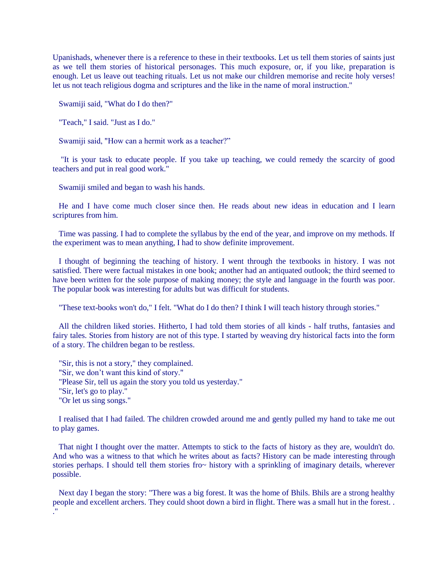Upanishads, whenever there is a reference to these in their textbooks. Let us tell them stories of saints just as we tell them stories of historical personages. This much exposure, or, if you like, preparation is enough. Let us leave out teaching rituals. Let us not make our children memorise and recite holy verses! let us not teach religious dogma and scriptures and the like in the name of moral instruction."

Swamiji said, "What do I do then?"

"Teach," I said. "Just as I do."

Swamiji said, "How can a hermit work as a teacher?"

 "It is your task to educate people. If you take up teaching, we could remedy the scarcity of good teachers and put in real good work."

Swamiji smiled and began to wash his hands.

 He and I have come much closer since then. He reads about new ideas in education and I learn scriptures from him.

 Time was passing. I had to complete the syllabus by the end of the year, and improve on my methods. If the experiment was to mean anything, I had to show definite improvement.

 I thought of beginning the teaching of history. I went through the textbooks in history. I was not satisfied. There were factual mistakes in one book; another had an antiquated outlook; the third seemed to have been written for the sole purpose of making money; the style and language in the fourth was poor. The popular book was interesting for adults but was difficult for students.

"These text-books won't do," I felt. "What do I do then? I think I will teach history through stories."

 All the children liked stories. Hitherto, I had told them stories of all kinds - half truths, fantasies and fairy tales. Stories from history are not of this type. I started by weaving dry historical facts into the form of a story. The children began to be restless.

"Sir, this is not a story," they complained.

"Sir, we don't want this kind of story."

"Please Sir, tell us again the story you told us yesterday."

"Sir, let's go to play."

"Or let us sing songs."

 I realised that I had failed. The children crowded around me and gently pulled my hand to take me out to play games.

 That night I thought over the matter. Attempts to stick to the facts of history as they are, wouldn't do. And who was a witness to that which he writes about as facts? History can be made interesting through stories perhaps. I should tell them stories fro~ history with a sprinkling of imaginary details, wherever possible.

 Next day I began the story: "There was a big forest. It was the home of Bhils. Bhils are a strong healthy people and excellent archers. They could shoot down a bird in flight. There was a small hut in the forest. . ."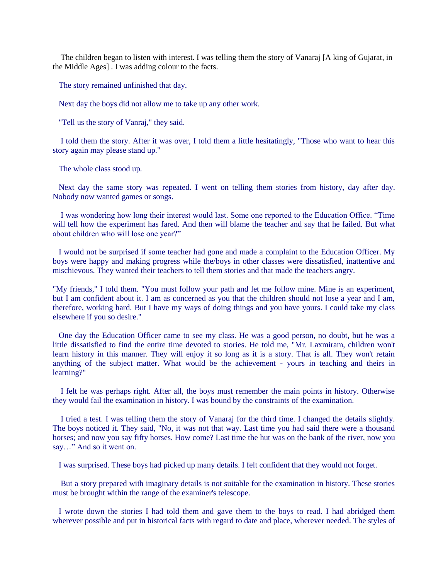The children began to listen with interest. I was telling them the story of Vanaraj [A king of Gujarat, in the Middle Ages] . I was adding colour to the facts.

The story remained unfinished that day.

Next day the boys did not allow me to take up any other work.

"Tell us the story of Vanraj," they said.

 I told them the story. After it was over, I told them a little hesitatingly, "Those who want to hear this story again may please stand up."

The whole class stood up.

 Next day the same story was repeated. I went on telling them stories from history, day after day. Nobody now wanted games or songs.

 I was wondering how long their interest would last. Some one reported to the Education Office. "Time will tell how the experiment has fared. And then will blame the teacher and say that he failed. But what about children who will lose one year?"

 I would not be surprised if some teacher had gone and made a complaint to the Education Officer. My boys were happy and making progress while the/boys in other classes were dissatisfied, inattentive and mischievous. They wanted their teachers to tell them stories and that made the teachers angry.

"My friends," I told them. "You must follow your path and let me follow mine. Mine is an experiment, but I am confident about it. I am as concerned as you that the children should not lose a year and I am, therefore, working hard. But I have my ways of doing things and you have yours. I could take my class elsewhere if you so desire."

 One day the Education Officer came to see my class. He was a good person, no doubt, but he was a little dissatisfied to find the entire time devoted to stories. He told me, "Mr. Laxmiram, children won't learn history in this manner. They will enjoy it so long as it is a story. That is all. They won't retain anything of the subject matter. What would be the achievement - yours in teaching and theirs in learning?"

 I felt he was perhaps right. After all, the boys must remember the main points in history. Otherwise they would fail the examination in history. I was bound by the constraints of the examination.

 I tried a test. I was telling them the story of Vanaraj for the third time. I changed the details slightly. The boys noticed it. They said, "No, it was not that way. Last time you had said there were a thousand horses; and now you say fifty horses. How come? Last time the hut was on the bank of the river, now you say…" And so it went on.

I was surprised. These boys had picked up many details. I felt confident that they would not forget.

 But a story prepared with imaginary details is not suitable for the examination in history. These stories must be brought within the range of the examiner's telescope.

 I wrote down the stories I had told them and gave them to the boys to read. I had abridged them wherever possible and put in historical facts with regard to date and place, wherever needed. The styles of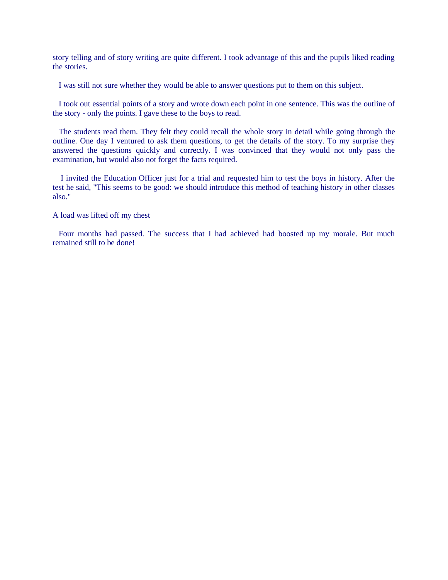story telling and of story writing are quite different. I took advantage of this and the pupils liked reading the stories.

I was still not sure whether they would be able to answer questions put to them on this subject.

 I took out essential points of a story and wrote down each point in one sentence. This was the outline of the story - only the points. I gave these to the boys to read.

 The students read them. They felt they could recall the whole story in detail while going through the outline. One day I ventured to ask them questions, to get the details of the story. To my surprise they answered the questions quickly and correctly. I was convinced that they would not only pass the examination, but would also not forget the facts required.

 I invited the Education Officer just for a trial and requested him to test the boys in history. After the test he said, "This seems to be good: we should introduce this method of teaching history in other classes also."

A load was lifted off my chest

 Four months had passed. The success that I had achieved had boosted up my morale. But much remained still to be done!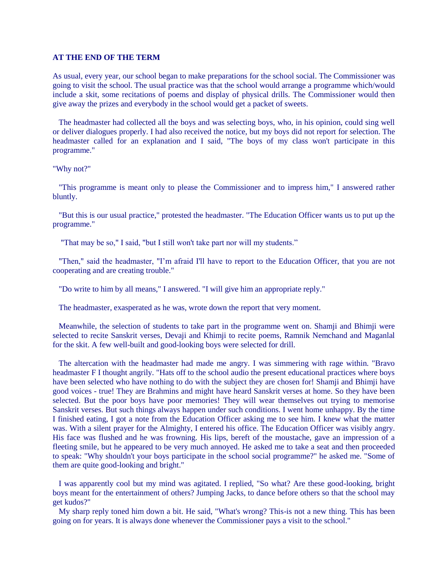### <span id="page-28-0"></span>**AT THE END OF THE TERM**

As usual, every year, our school began to make preparations for the school social. The Commissioner was going to visit the school. The usual practice was that the school would arrange a programme which/would include a skit, some recitations of poems and display of physical drills. The Commissioner would then give away the prizes and everybody in the school would get a packet of sweets.

 The headmaster had collected all the boys and was selecting boys, who, in his opinion, could sing well or deliver dialogues properly. I had also received the notice, but my boys did not report for selection. The headmaster called for an explanation and I said, "The boys of my class won't participate in this programme."

### "Why not?"

 "This programme is meant only to please the Commissioner and to impress him," I answered rather bluntly.

 "But this is our usual practice," protested the headmaster. "The Education Officer wants us to put up the programme."

"That may be so," I said, "but I still won't take part nor will my students."

 "Then," said the headmaster, "I'm afraid I'll have to report to the Education Officer, that you are not cooperating and are creating trouble."

"Do write to him by all means," I answered. "I will give him an appropriate reply."

The headmaster, exasperated as he was, wrote down the report that very moment.

 Meanwhile, the selection of students to take part in the programme went on. Shamji and Bhimji were selected to recite Sanskrit verses, Devaji and Khimji to recite poems, Ramnik Nemchand and Maganlal for the skit. A few well-built and good-looking boys were selected for drill.

 The altercation with the headmaster had made me angry. I was simmering with rage within. "Bravo headmaster F I thought angrily. "Hats off to the school audio the present educational practices where boys have been selected who have nothing to do with the subject they are chosen for! Shamji and Bhimji have good voices - true! They are Brahmins and might have heard Sanskrit verses at home. So they have been selected. But the poor boys have poor memories! They will wear themselves out trying to memorise Sanskrit verses. But such things always happen under such conditions. I went home unhappy. By the time I finished eating, I got a note from the Education Officer asking me to see him. I knew what the matter was. With a silent prayer for the Almighty, I entered his office. The Education Officer was visibly angry. His face was flushed and he was frowning. His lips, bereft of the moustache, gave an impression of a fleeting smile, but he appeared to be very much annoyed. He asked me to take a seat and then proceeded to speak: "Why shouldn't your boys participate in the school social programme?" he asked me. "Some of them are quite good-looking and bright."

 I was apparently cool but my mind was agitated. I replied, "So what? Are these good-looking, bright boys meant for the entertainment of others? Jumping Jacks, to dance before others so that the school may get kudos?"

 My sharp reply toned him down a bit. He said, "What's wrong? This-is not a new thing. This has been going on for years. It is always done whenever the Commissioner pays a visit to the school."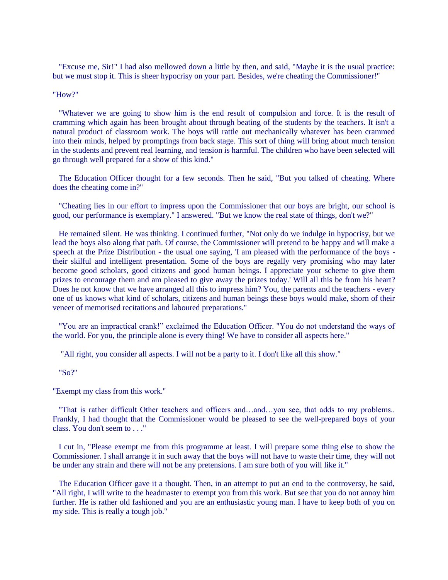"Excuse me, Sir!" I had also mellowed down a little by then, and said, "Maybe it is the usual practice: but we must stop it. This is sheer hypocrisy on your part. Besides, we're cheating the Commissioner!"

## "How?"

 "Whatever we are going to show him is the end result of compulsion and force. It is the result of cramming which again has been brought about through beating of the students by the teachers. It isn't a natural product of classroom work. The boys will rattle out mechanically whatever has been crammed into their minds, helped by promptings from back stage. This sort of thing will bring about much tension in the students and prevent real learning, and tension is harmful. The children who have been selected will go through well prepared for a show of this kind."

 The Education Officer thought for a few seconds. Then he said, "But you talked of cheating. Where does the cheating come in?"

 "Cheating lies in our effort to impress upon the Commissioner that our boys are bright, our school is good, our performance is exemplary." I answered. "But we know the real state of things, don't we?"

 He remained silent. He was thinking. I continued further, "Not only do we indulge in hypocrisy, but we lead the boys also along that path. Of course, the Commissioner will pretend to be happy and will make a speech at the Prize Distribution - the usual one saying, 'I am pleased with the performance of the boys their skilful and intelligent presentation. Some of the boys are regally very promising who may later become good scholars, good citizens and good human beings. I appreciate your scheme to give them prizes to encourage them and am pleased to give away the prizes today.' Will all this be from his heart? Does he not know that we have arranged all this to impress him? You, the parents and the teachers - every one of us knows what kind of scholars, citizens and human beings these boys would make, shorn of their veneer of memorised recitations and laboured preparations."

 "You are an impractical crank!" exclaimed the Education Officer. "You do not understand the ways of the world. For you, the principle alone is every thing! We have to consider all aspects here."

"All right, you consider all aspects. I will not be a party to it. I don't like all this show."

#### "So?"

"Exempt my class from this work."

 "That is rather difficult Other teachers and officers and…and…you see, that adds to my problems.. Frankly, I had thought that the Commissioner would be pleased to see the well-prepared boys of your class. You don't seem to . . ."

 I cut in, "Please exempt me from this programme at least. I will prepare some thing else to show the Commissioner. I shall arrange it in such away that the boys will not have to waste their time, they will not be under any strain and there will not be any pretensions. I am sure both of you will like it."

 The Education Officer gave it a thought. Then, in an attempt to put an end to the controversy, he said, "All right, I will write to the headmaster to exempt you from this work. But see that you do not annoy him further. He is rather old fashioned and you are an enthusiastic young man. I have to keep both of you on my side. This is really a tough job."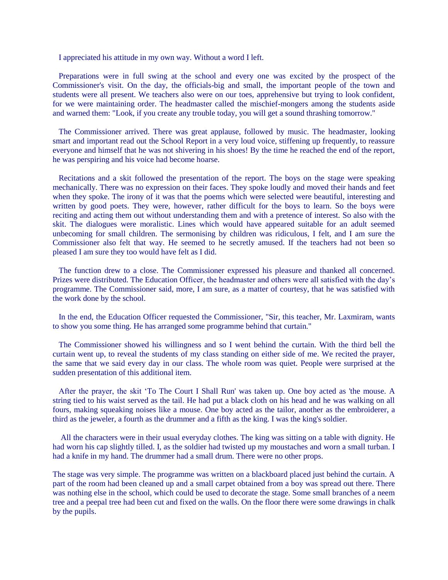I appreciated his attitude in my own way. Without a word I left.

 Preparations were in full swing at the school and every one was excited by the prospect of the Commissioner's visit. On the day, the officials-big and small, the important people of the town and students were all present. We teachers also were on our toes, apprehensive but trying to look confident, for we were maintaining order. The headmaster called the mischief-mongers among the students aside and warned them: "Look, if you create any trouble today, you will get a sound thrashing tomorrow."

 The Commissioner arrived. There was great applause, followed by music. The headmaster, looking smart and important read out the School Report in a very loud voice, stiffening up frequently, to reassure everyone and himself that he was not shivering in his shoes! By the time he reached the end of the report, he was perspiring and his voice had become hoarse.

 Recitations and a skit followed the presentation of the report. The boys on the stage were speaking mechanically. There was no expression on their faces. They spoke loudly and moved their hands and feet when they spoke. The irony of it was that the poems which were selected were beautiful, interesting and written by good poets. They were, however, rather difficult for the boys to learn. So the boys were reciting and acting them out without understanding them and with a pretence of interest. So also with the skit. The dialogues were moralistic. Lines which would have appeared suitable for an adult seemed unbecoming for small children. The sermonising by children was ridiculous, I felt, and I am sure the Commissioner also felt that way. He seemed to he secretly amused. If the teachers had not been so pleased I am sure they too would have felt as I did.

 The function drew to a close. The Commissioner expressed his pleasure and thanked all concerned. Prizes were distributed. The Education Officer, the headmaster and others were all satisfied with the day's programme. The Commissioner said, more, I am sure, as a matter of courtesy, that he was satisfied with the work done by the school.

 In the end, the Education Officer requested the Commissioner, "Sir, this teacher, Mr. Laxmiram, wants to show you some thing. He has arranged some programme behind that curtain."

 The Commissioner showed his willingness and so I went behind the curtain. With the third bell the curtain went up, to reveal the students of my class standing on either side of me. We recited the prayer, the same that we said every day in our class. The whole room was quiet. People were surprised at the sudden presentation of this additional item.

 After the prayer, the skit 'To The Court I Shall Run' was taken up. One boy acted as 'the mouse. A string tied to his waist served as the tail. He had put a black cloth on his head and he was walking on all fours, making squeaking noises like a mouse. One boy acted as the tailor, another as the embroiderer, a third as the jeweler, a fourth as the drummer and a fifth as the king. I was the king's soldier.

 All the characters were in their usual everyday clothes. The king was sitting on a table with dignity. He had worn his cap slightly tilled. I, as the soldier had twisted up my moustaches and worn a small turban. I had a knife in my hand. The drummer had a small drum. There were no other props.

The stage was very simple. The programme was written on a blackboard placed just behind the curtain. A part of the room had been cleaned up and a small carpet obtained from a boy was spread out there. There was nothing else in the school, which could be used to decorate the stage. Some small branches of a neem tree and a peepal tree had been cut and fixed on the walls. On the floor there were some drawings in chalk by the pupils.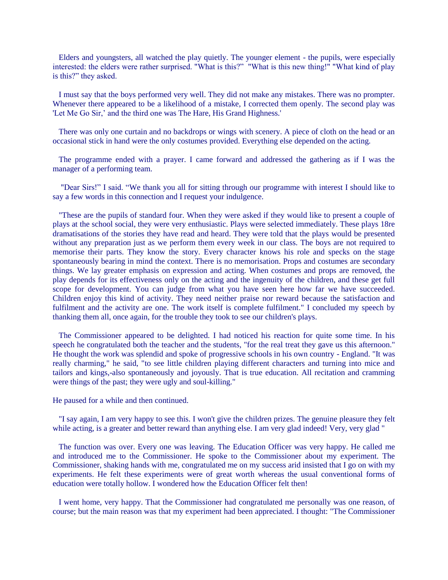Elders and youngsters, all watched the play quietly. The younger element - the pupils, were especially interested: the elders were rather surprised. "What is this?" "What is this new thing!" "What kind of play is this?" they asked.

 I must say that the boys performed very well. They did not make any mistakes. There was no prompter. Whenever there appeared to be a likelihood of a mistake, I corrected them openly. The second play was 'Let Me Go Sir,' and the third one was The Hare, His Grand Highness.'

 There was only one curtain and no backdrops or wings with scenery. A piece of cloth on the head or an occasional stick in hand were the only costumes provided. Everything else depended on the acting.

 The programme ended with a prayer. I came forward and addressed the gathering as if I was the manager of a performing team.

 "Dear Sirs!" I said. "We thank you all for sitting through our programme with interest I should like to say a few words in this connection and I request your indulgence.

 "These are the pupils of standard four. When they were asked if they would like to present a couple of plays at the school social, they were very enthusiastic. Plays were selected immediately. These plays 18re dramatisations of the stories they have read and heard. They were told that the plays would be presented without any preparation just as we perform them every week in our class. The boys are not required to memorise their parts. They know the story. Every character knows his role and specks on the stage spontaneously bearing in mind the context. There is no memorisation. Props and costumes are secondary things. We lay greater emphasis on expression and acting. When costumes and props are removed, the play depends for its effectiveness only on the acting and the ingenuity of the children, and these get full scope for development. You can judge from what you have seen here how far we have succeeded. Children enjoy this kind of activity. They need neither praise nor reward because the satisfaction and fulfilment and the activity are one. The work itself is complete fulfilment." I concluded my speech by thanking them all, once again, for the trouble they took to see our children's plays.

 The Commissioner appeared to be delighted. I had noticed his reaction for quite some time. In his speech he congratulated both the teacher and the students, "for the real treat they gave us this afternoon." He thought the work was splendid and spoke of progressive schools in his own country - England. "It was really charming," he said, "to see little children playing different characters and turning into mice and tailors and kings,-also spontaneously and joyously. That is true education. All recitation and cramming were things of the past; they were ugly and soul-killing."

He paused for a while and then continued.

 "I say again, I am very happy to see this. I won't give the children prizes. The genuine pleasure they felt while acting, is a greater and better reward than anything else. I am very glad indeed! Very, very glad "

 The function was over. Every one was leaving. The Education Officer was very happy. He called me and introduced me to the Commissioner. He spoke to the Commissioner about my experiment. The Commissioner, shaking hands with me, congratulated me on my success arid insisted that I go on with my experiments. He felt these experiments were of great worth whereas the usual conventional forms of education were totally hollow. I wondered how the Education Officer felt then!

 I went home, very happy. That the Commissioner had congratulated me personally was one reason, of course; but the main reason was that my experiment had been appreciated. I thought: "The Commissioner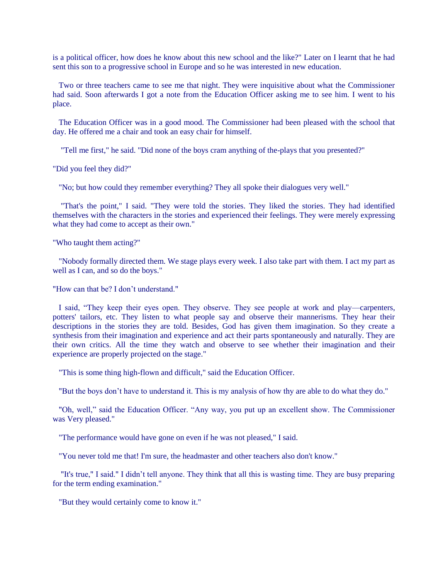is a political officer, how does he know about this new school and the like?" Later on I learnt that he had sent this son to a progressive school in Europe and so he was interested in new education.

 Two or three teachers came to see me that night. They were inquisitive about what the Commissioner had said. Soon afterwards I got a note from the Education Officer asking me to see him. I went to his place.

 The Education Officer was in a good mood. The Commissioner had been pleased with the school that day. He offered me a chair and took an easy chair for himself.

"Tell me first," he said. "Did none of the boys cram anything of the-plays that you presented?"

"Did you feel they did?"

"No; but how could they remember everything? They all spoke their dialogues very well."

 "That's the point," I said. "They were told the stories. They liked the stories. They had identified themselves with the characters in the stories and experienced their feelings. They were merely expressing what they had come to accept as their own."

"Who taught them acting?"

 "Nobody formally directed them. We stage plays every week. I also take part with them. I act my part as well as I can, and so do the boys."

"How can that be? I don't understand."

 I said, "They keep their eyes open. They observe. They see people at work and play—carpenters, potters' tailors, etc. They listen to what people say and observe their mannerisms. They hear their descriptions in the stories they are told. Besides, God has given them imagination. So they create a synthesis from their imagination and experience and act their parts spontaneously and naturally. They are their own critics. All the time they watch and observe to see whether their imagination and their experience are properly projected on the stage."

"This is some thing high-flown and difficult," said the Education Officer.

"But the boys don't have to understand it. This is my analysis of how thy are able to do what they do."

 "Oh, well," said the Education Officer. "Any way, you put up an excellent show. The Commissioner was Very pleased."

"The performance would have gone on even if he was not pleased," I said.

"You never told me that! I'm sure, the headmaster and other teachers also don't know."

 "It's true," I said." I didn't tell anyone. They think that all this is wasting time. They are busy preparing for the term ending examination."

"But they would certainly come to know it."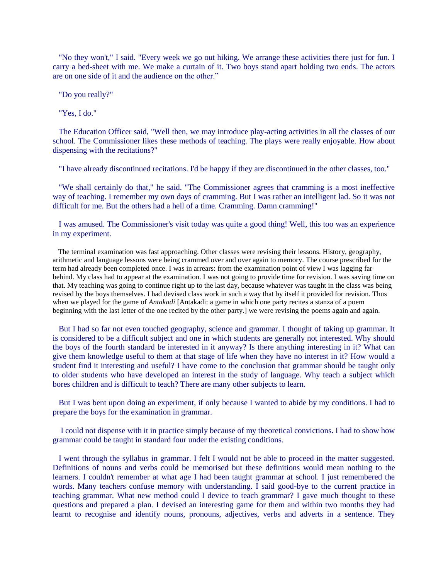"No they won't," I said. "Every week we go out hiking. We arrange these activities there just for fun. I carry a bed-sheet with me. We make a curtain of it. Two boys stand apart holding two ends. The actors are on one side of it and the audience on the other."

"Do you really?"

"Yes, I do."

 The Education Officer said, "Well then, we may introduce play-acting activities in all the classes of our school. The Commissioner likes these methods of teaching. The plays were really enjoyable. How about dispensing with the recitations?"

"I have already discontinued recitations. I'd be happy if they are discontinued in the other classes, too."

 "We shall certainly do that," he said. "The Commissioner agrees that cramming is a most ineffective way of teaching. I remember my own days of cramming. But I was rather an intelligent lad. So it was not difficult for me. But the others had a hell of a time. Cramming. Damn cramming!"

 I was amused. The Commissioner's visit today was quite a good thing! Well, this too was an experience in my experiment.

 The terminal examination was fast approaching. Other classes were revising their lessons. History, geography, arithmetic and language lessons were being crammed over and over again to memory. The course prescribed for the term had already been completed once. I was in arrears: from the examination point of view I was lagging far behind. My class had to appear at the examination. I was not going to provide time for revision. I was saving time on that. My teaching was going to continue right up to the last day, because whatever was taught in the class was being revised by the boys themselves. I had devised class work in such a way that by itself it provided for revision. Thus when we played for the game of *Antakadi* [Antakadi: a game in which one party recites a stanza of a poem beginning with the last letter of the one recited by the other party.] we were revising the poems again and again.

 But I had so far not even touched geography, science and grammar. I thought of taking up grammar. It is considered to be a difficult subject and one in which students are generally not interested. Why should the boys of the fourth standard be interested in it anyway? Is there anything interesting in it? What can give them knowledge useful to them at that stage of life when they have no interest in it? How would a student find it interesting and useful? I have come to the conclusion that grammar should be taught only to older students who have developed an interest in the study of language. Why teach a subject which bores children and is difficult to teach? There are many other subjects to learn.

 But I was bent upon doing an experiment, if only because I wanted to abide by my conditions. I had to prepare the boys for the examination in grammar.

 I could not dispense with it in practice simply because of my theoretical convictions. I had to show how grammar could be taught in standard four under the existing conditions.

 I went through the syllabus in grammar. I felt I would not be able to proceed in the matter suggested. Definitions of nouns and verbs could be memorised but these definitions would mean nothing to the learners. I couldn't remember at what age I had been taught grammar at school. I just remembered the words. Many teachers confuse memory with understanding. I said good-bye to the current practice in teaching grammar. What new method could I device to teach grammar? I gave much thought to these questions and prepared a plan. I devised an interesting game for them and within two months they had learnt to recognise and identify nouns, pronouns, adjectives, verbs and adverts in a sentence. They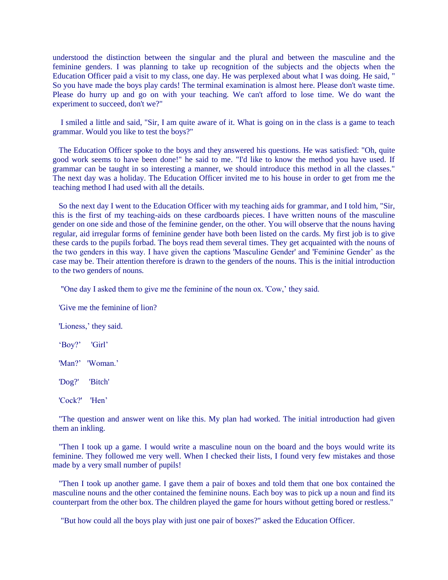understood the distinction between the singular and the plural and between the masculine and the feminine genders. I was planning to take up recognition of the subjects and the objects when the Education Officer paid a visit to my class, one day. He was perplexed about what I was doing. He said, " So you have made the boys play cards! The terminal examination is almost here. Please don't waste time. Please do hurry up and go on with your teaching. We can't afford to lose time. We do want the experiment to succeed, don't we?"

 I smiled a little and said, "Sir, I am quite aware of it. What is going on in the class is a game to teach grammar. Would you like to test the boys?"

 The Education Officer spoke to the boys and they answered his questions. He was satisfied: "Oh, quite good work seems to have been done!" he said to me. "I'd like to know the method you have used. If grammar can be taught in so interesting a manner, we should introduce this method in all the classes." The next day was a holiday. The Education Officer invited me to his house in order to get from me the teaching method I had used with all the details.

 So the next day I went to the Education Officer with my teaching aids for grammar, and I told him, "Sir, this is the first of my teaching-aids on these cardboards pieces. I have written nouns of the masculine gender on one side and those of the feminine gender, on the other. You will observe that the nouns having regular, aid irregular forms of feminine gender have both been listed on the cards. My first job is to give these cards to the pupils forbad. The boys read them several times. They get acquainted with the nouns of the two genders in this way. I have given the captions 'Masculine Gender' and 'Feminine Gender' as the case may be. Their attention therefore is drawn to the genders of the nouns. This is the initial introduction to the two genders of nouns.

"One day I asked them to give me the feminine of the noun ox. 'Cow,' they said.

'Give me the feminine of lion?

'Lioness,' they said.

 'Boy?' 'Girl' 'Man?' 'Woman.' 'Dog?' 'Bitch'

'Cock?' 'Hen'

 "The question and answer went on like this. My plan had worked. The initial introduction had given them an inkling.

 "Then I took up a game. I would write a masculine noun on the board and the boys would write its feminine. They followed me very well. When I checked their lists, I found very few mistakes and those made by a very small number of pupils!

 "Then I took up another game. I gave them a pair of boxes and told them that one box contained the masculine nouns and the other contained the feminine nouns. Each boy was to pick up a noun and find its counterpart from the other box. The children played the game for hours without getting bored or restless."

"But how could all the boys play with just one pair of boxes?" asked the Education Officer.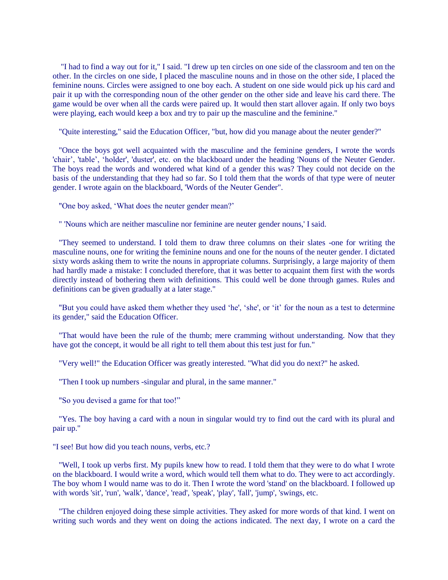"I had to find a way out for it," I said. "I drew up ten circles on one side of the classroom and ten on the other. In the circles on one side, I placed the masculine nouns and in those on the other side, I placed the feminine nouns. Circles were assigned to one boy each. A student on one side would pick up his card and pair it up with the corresponding noun of the other gender on the other side and leave his card there. The game would be over when all the cards were paired up. It would then start allover again. If only two boys were playing, each would keep a box and try to pair up the masculine and the feminine."

"Quite interesting," said the Education Officer, "but, how did you manage about the neuter gender?"

 "Once the boys got well acquainted with the masculine and the feminine genders, I wrote the words 'chair', 'table', 'holder', 'duster', etc. on the blackboard under the heading 'Nouns of the Neuter Gender. The boys read the words and wondered what kind of a gender this was? They could not decide on the basis of the understanding that they had so far. So I told them that the words of that type were of neuter gender. I wrote again on the blackboard, 'Words of the Neuter Gender".

"One boy asked, 'What does the neuter gender mean?'

" 'Nouns which are neither masculine nor feminine are neuter gender nouns,' I said.

 "They seemed to understand. I told them to draw three columns on their slates -one for writing the masculine nouns, one for writing the feminine nouns and one for the nouns of the neuter gender. I dictated sixty words asking them to write the nouns in appropriate columns. Surprisingly, a large majority of them had hardly made a mistake: I concluded therefore, that it was better to acquaint them first with the words directly instead of bothering them with definitions. This could well be done through games. Rules and definitions can be given gradually at a later stage."

 "But you could have asked them whether they used 'he', 'she', or 'it' for the noun as a test to determine its gender," said the Education Officer.

 "That would have been the rule of the thumb; mere cramming without understanding. Now that they have got the concept, it would be all right to tell them about this test just for fun."

"Very well!" the Education Officer was greatly interested. "What did you do next?" he asked.

"Then I took up numbers -singular and plural, in the same manner."

"So you devised a game for that too!"

 "Yes. The boy having a card with a noun in singular would try to find out the card with its plural and pair up."

"I see! But how did you teach nouns, verbs, etc.?

 "Well, I took up verbs first. My pupils knew how to read. I told them that they were to do what I wrote on the blackboard. I would write a word, which would tell them what to do. They were to act accordingly. The boy whom I would name was to do it. Then I wrote the word 'stand' on the blackboard. I followed up with words 'sit', 'run', 'walk', 'dance', 'read', 'speak', 'play', 'fall', 'jump', 'swings, etc.

 "The children enjoyed doing these simple activities. They asked for more words of that kind. I went on writing such words and they went on doing the actions indicated. The next day, I wrote on a card the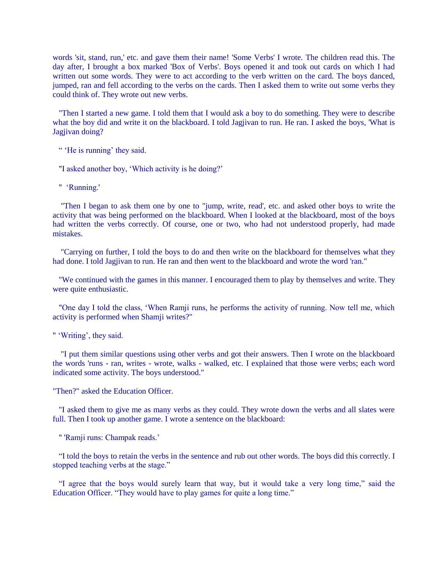words 'sit, stand, run,' etc. and gave them their name! 'Some Verbs' I wrote. The children read this. The day after, I brought a box marked 'Box of Verbs'. Boys opened it and took out cards on which I had written out some words. They were to act according to the verb written on the card. The boys danced, jumped, ran and fell according to the verbs on the cards. Then I asked them to write out some verbs they could think of. They wrote out new verbs.

 "Then I started a new game. I told them that I would ask a boy to do something. They were to describe what the boy did and write it on the blackboard. I told Jagjivan to run. He ran. I asked the boys, 'What is Jagjivan doing?

" 'He is running' they said.

"I asked another boy, 'Which activity is he doing?'

" 'Running.'

 "Then I began to ask them one by one to "jump, write, read', etc. and asked other boys to write the activity that was being performed on the blackboard. When I looked at the blackboard, most of the boys had written the verbs correctly. Of course, one or two, who had not understood properly, had made mistakes.

 "Carrying on further, I told the boys to do and then write on the blackboard for themselves what they had done. I told Jagjivan to run. He ran and then went to the blackboard and wrote the word 'ran."

 "We continued with the games in this manner. I encouraged them to play by themselves and write. They were quite enthusiastic.

 "One day I told the class, 'When Ramji runs, he performs the activity of running. Now tell me, which activity is performed when Shamji writes?"

" 'Writing', they said.

 "I put them similar questions using other verbs and got their answers. Then I wrote on the blackboard the words 'runs - ran, writes - wrote, walks - walked, etc. I explained that those were verbs; each word indicated some activity. The boys understood."

"Then?" asked the Education Officer.

 "I asked them to give me as many verbs as they could. They wrote down the verbs and all slates were full. Then I took up another game. I wrote a sentence on the blackboard:

" 'Ramji runs: Champak reads.'

 "I told the boys to retain the verbs in the sentence and rub out other words. The boys did this correctly. I stopped teaching verbs at the stage."

 "I agree that the boys would surely learn that way, but it would take a very long time," said the Education Officer. "They would have to play games for quite a long time."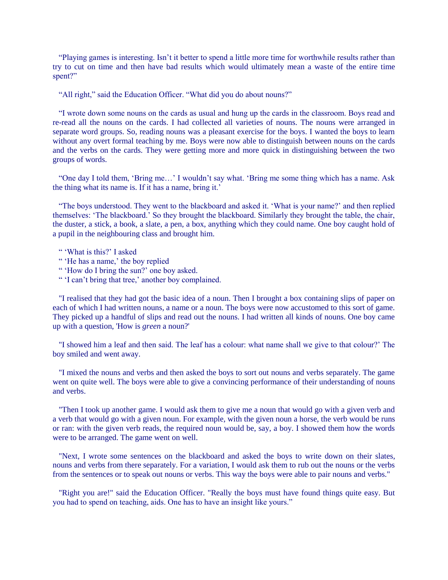"Playing games is interesting. Isn't it better to spend a little more time for worthwhile results rather than try to cut on time and then have bad results which would ultimately mean a waste of the entire time spent?"

"All right," said the Education Officer. "What did you do about nouns?"

 "I wrote down some nouns on the cards as usual and hung up the cards in the classroom. Boys read and re-read all the nouns on the cards. I had collected all varieties of nouns. The nouns were arranged in separate word groups. So, reading nouns was a pleasant exercise for the boys. I wanted the boys to learn without any overt formal teaching by me. Boys were now able to distinguish between nouns on the cards and the verbs on the cards. They were getting more and more quick in distinguishing between the two groups of words.

 "One day I told them, 'Bring me…' I wouldn't say what. 'Bring me some thing which has a name. Ask the thing what its name is. If it has a name, bring it.'

 "The boys understood. They went to the blackboard and asked it. 'What is your name?' and then replied themselves: 'The blackboard.' So they brought the blackboard. Similarly they brought the table, the chair, the duster, a stick, a book, a slate, a pen, a box, anything which they could name. One boy caught hold of a pupil in the neighbouring class and brought him.

- " 'What is this?' I asked
- " 'He has a name,' the boy replied
- " 'How do I bring the sun?' one boy asked.
- " 'I can't bring that tree,' another boy complained.

 "I realised that they had got the basic idea of a noun. Then I brought a box containing slips of paper on each of which I had written nouns, a name or a noun. The boys were now accustomed to this sort of game. They picked up a handful of slips and read out the nouns. I had written all kinds of nouns. One boy came up with a question, 'How is *green* a noun?'

 "I showed him a leaf and then said. The leaf has a colour: what name shall we give to that colour?' The boy smiled and went away.

 "I mixed the nouns and verbs and then asked the boys to sort out nouns and verbs separately. The game went on quite well. The boys were able to give a convincing performance of their understanding of nouns and verbs.

 "Then I took up another game. I would ask them to give me a noun that would go with a given verb and a verb that would go with a given noun. For example, with the given noun a horse, the verb would be runs or ran: with the given verb reads, the required noun would be, say, a boy. I showed them how the words were to be arranged. The game went on well.

 "Next, I wrote some sentences on the blackboard and asked the boys to write down on their slates, nouns and verbs from there separately. For a variation, I would ask them to rub out the nouns or the verbs from the sentences or to speak out nouns or verbs. This way the boys were able to pair nouns and verbs."

 "Right you are!" said the Education Officer. "Really the boys must have found things quite easy. But you had to spend on teaching, aids. One has to have an insight like yours."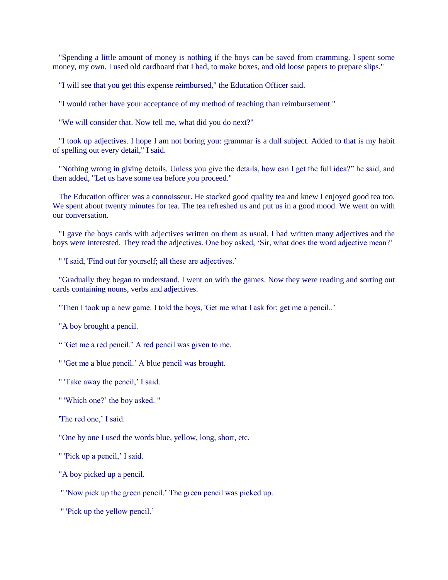"Spending a little amount of money is nothing if the boys can be saved from cramming. I spent some money, my own. I used old cardboard that I had, to make boxes, and old loose papers to prepare slips."

"I will see that you get this expense reimbursed," the Education Officer said.

"I would rather have your acceptance of my method of teaching than reimbursement."

"We will consider that. Now tell me, what did you do next?"

 "I took up adjectives. I hope I am not boring you: grammar is a dull subject. Added to that is my habit of spelling out every detail," I said.

 "Nothing wrong in giving details. Unless you give the details, how can I get the full idea?" he said, and then added, "Let us have some tea before you proceed."

 The Education officer was a connoisseur. He stocked good quality tea and knew I enjoyed good tea too. We spent about twenty minutes for tea. The tea refreshed us and put us in a good mood. We went on with our conversation.

 "I gave the boys cards with adjectives written on them as usual. I had written many adjectives and the boys were interested. They read the adjectives. One boy asked, 'Sir, what does the word adjective mean?'

" 'I said, 'Find out for yourself; all these are adjectives.'

 "Gradually they began to understand. I went on with the games. Now they were reading and sorting out cards containing nouns, verbs and adjectives.

"Then I took up a new game. I told the boys, 'Get me what I ask for; get me a pencil..'

"A boy brought a pencil.

" 'Get me a red pencil.' A red pencil was given to me.

" 'Get me a blue pencil.' A blue pencil was brought.

" 'Take away the pencil,' I said.

" 'Which one?' the boy asked. "

'The red one,' I said.

"One by one I used the words blue, yellow, long, short, etc.

" 'Pick up a pencil,' I said.

"A boy picked up a pencil.

" 'Now pick up the green pencil.' The green pencil was picked up.

" 'Pick up the yellow pencil.'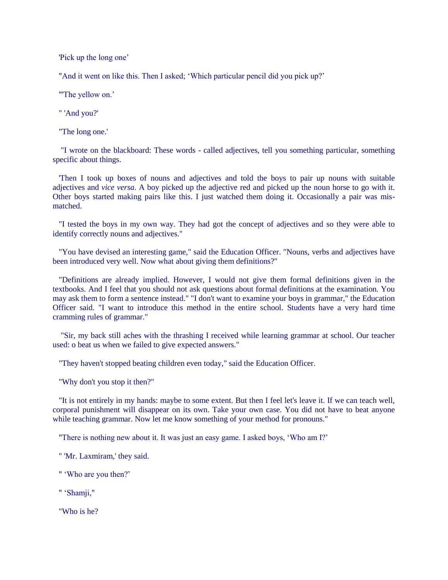'Pick up the long one'

"And it went on like this. Then I asked; 'Which particular pencil did you pick up?'

"'The yellow on.'

" 'And you?'

"The long one.'

 "I wrote on the blackboard: These words - called adjectives, tell you something particular, something specific about things.

 'Then I took up boxes of nouns and adjectives and told the boys to pair up nouns with suitable adjectives and *vice versa*. A boy picked up the adjective red and picked up the noun horse to go with it. Other boys started making pairs like this. I just watched them doing it. Occasionally a pair was mismatched.

 "I tested the boys in my own way. They had got the concept of adjectives and so they were able to identify correctly nouns and adjectives."

 "You have devised an interesting game," said the Education Officer. "Nouns, verbs and adjectives have been introduced very well. Now what about giving them definitions?"

 "Definitions are already implied. However, I would not give them formal definitions given in the textbooks. And I feel that you should not ask questions about formal definitions at the examination. You may ask them to form a sentence instead." "I don't want to examine your boys in grammar," the Education Officer said. "I want to introduce this method in the entire school. Students have a very hard time cramming rules of grammar."

 "Sir, my back still aches with the thrashing I received while learning grammar at school. Our teacher used: o beat us when we failed to give expected answers."

"They haven't stopped beating children even today," said the Education Officer.

"Why don't you stop it then?"

 "It is not entirely in my hands: maybe to some extent. But then I feel let's leave it. If we can teach well, corporal punishment will disappear on its own. Take your own case. You did not have to beat anyone while teaching grammar. Now let me know something of your method for pronouns."

"There is nothing new about it. It was just an easy game. I asked boys, 'Who am I?'

" 'Mr. Laxmiram,' they said.

" 'Who are you then?'

" 'Shamji,"

"Who is he?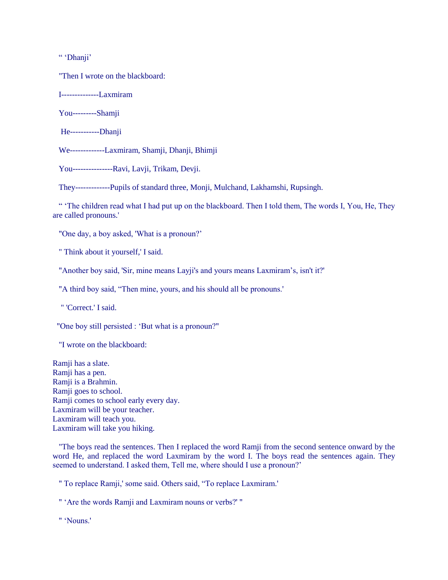" 'Dhanji'

"Then I wrote on the blackboard:

I--------------Laxmiram

You---------Shamji

He-----------Dhanji

We-------------Laxmiram, Shamji, Dhanji, Bhimji

You---------------Ravi, Lavji, Trikam, Devji.

They-------------Pupils of standard three, Monji, Mulchand, Lakhamshi, Rupsingh.

 " 'The children read what I had put up on the blackboard. Then I told them, The words I, You, He, They are called pronouns.'

"One day, a boy asked, 'What is a pronoun?'

" Think about it yourself,' I said.

"Another boy said, 'Sir, mine means Layji's and yours means Laxmiram's, isn't it?'

"A third boy said, "Then mine, yours, and his should all be pronouns.'

" 'Correct.' I said.

"One boy still persisted : 'But what is a pronoun?"

"I wrote on the blackboard:

Ramji has a slate. Ramji has a pen. Ramji is a Brahmin. Ramji goes to school. Ramji comes to school early every day. Laxmiram will be your teacher. Laxmiram will teach you. Laxmiram will take you hiking.

 "The boys read the sentences. Then I replaced the word Ramji from the second sentence onward by the word He, and replaced the word Laxmiram by the word I. The boys read the sentences again. They seemed to understand. I asked them, Tell me, where should I use a pronoun?'

" To replace Ramji,' some said. Others said, "To replace Laxmiram.'

" 'Are the words Ramji and Laxmiram nouns or verbs?' "

" 'Nouns.'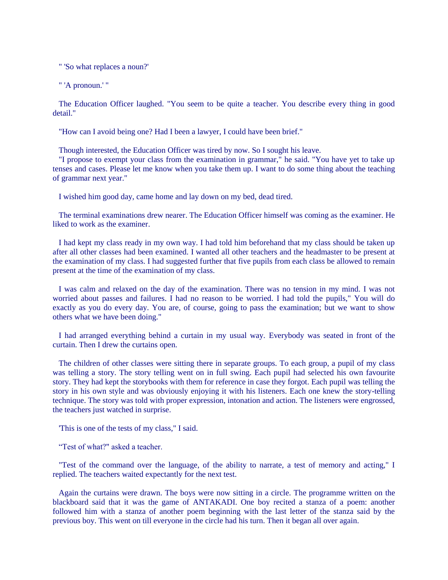" 'So what replaces a noun?'

" 'A pronoun.' "

 The Education Officer laughed. "You seem to be quite a teacher. You describe every thing in good detail."

"How can I avoid being one? Had I been a lawyer, I could have been brief."

Though interested, the Education Officer was tired by now. So I sought his leave.

 "I propose to exempt your class from the examination in grammar," he said. "You have yet to take up tenses and cases. Please let me know when you take them up. I want to do some thing about the teaching of grammar next year."

I wished him good day, came home and lay down on my bed, dead tired.

 The terminal examinations drew nearer. The Education Officer himself was coming as the examiner. He liked to work as the examiner.

 I had kept my class ready in my own way. I had told him beforehand that my class should be taken up after all other classes had been examined. I wanted all other teachers and the headmaster to be present at the examination of my class. I had suggested further that five pupils from each class be allowed to remain present at the time of the examination of my class.

 I was calm and relaxed on the day of the examination. There was no tension in my mind. I was not worried about passes and failures. I had no reason to be worried. I had told the pupils," You will do exactly as you do every day. You are, of course, going to pass the examination; but we want to show others what we have been doing."

 I had arranged everything behind a curtain in my usual way. Everybody was seated in front of the curtain. Then I drew the curtains open.

 The children of other classes were sitting there in separate groups. To each group, a pupil of my class was telling a story. The story telling went on in full swing. Each pupil had selected his own favourite story. They had kept the storybooks with them for reference in case they forgot. Each pupil was telling the story in his own style and was obviously enjoying it with his listeners. Each one knew the story-telling technique. The story was told with proper expression, intonation and action. The listeners were engrossed, the teachers just watched in surprise.

'This is one of the tests of my class," I said.

"Test of what?" asked a teacher.

 "Test of the command over the language, of the ability to narrate, a test of memory and acting," I replied. The teachers waited expectantly for the next test.

 Again the curtains were drawn. The boys were now sitting in a circle. The programme written on the blackboard said that it was the game of ANTAKADI. One boy recited a stanza of a poem: another followed him with a stanza of another poem beginning with the last letter of the stanza said by the previous boy. This went on till everyone in the circle had his turn. Then it began all over again.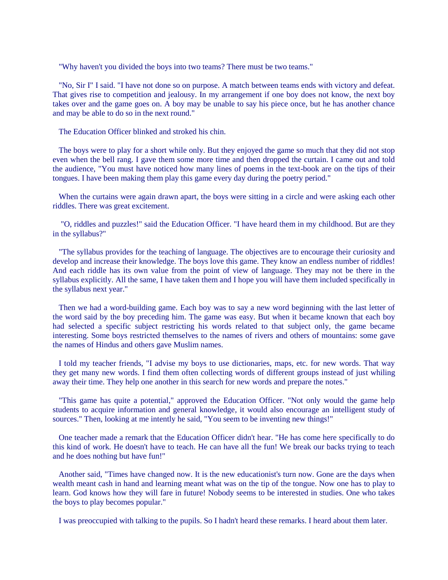"Why haven't you divided the boys into two teams? There must be two teams."

 "No, Sir I" I said. "I have not done so on purpose. A match between teams ends with victory and defeat. That gives rise to competition and jealousy. In my arrangement if one boy does not know, the next boy takes over and the game goes on. A boy may be unable to say his piece once, but he has another chance and may be able to do so in the next round."

The Education Officer blinked and stroked his chin.

 The boys were to play for a short while only. But they enjoyed the game so much that they did not stop even when the bell rang. I gave them some more time and then dropped the curtain. I came out and told the audience, "You must have noticed how many lines of poems in the text-book are on the tips of their tongues. I have been making them play this game every day during the poetry period."

When the curtains were again drawn apart, the boys were sitting in a circle and were asking each other riddles. There was great excitement.

 "O, riddles and puzzles!" said the Education Officer. "I have heard them in my childhood. But are they in the syllabus?"

 "The syllabus provides for the teaching of language. The objectives are to encourage their curiosity and develop and increase their knowledge. The boys love this game. They know an endless number of riddles! And each riddle has its own value from the point of view of language. They may not be there in the syllabus explicitly. All the same, I have taken them and I hope you will have them included specifically in the syllabus next year."

 Then we had a word-building game. Each boy was to say a new word beginning with the last letter of the word said by the boy preceding him. The game was easy. But when it became known that each boy had selected a specific subject restricting his words related to that subject only, the game became interesting. Some boys restricted themselves to the names of rivers and others of mountains: some gave the names of Hindus and others gave Muslim names.

 I told my teacher friends, "I advise my boys to use dictionaries, maps, etc. for new words. That way they get many new words. I find them often collecting words of different groups instead of just whiling away their time. They help one another in this search for new words and prepare the notes."

 "This game has quite a potential," approved the Education Officer. "Not only would the game help students to acquire information and general knowledge, it would also encourage an intelligent study of sources." Then, looking at me intently he said, "You seem to be inventing new things!"

 One teacher made a remark that the Education Officer didn't hear. "He has come here specifically to do this kind of work. He doesn't have to teach. He can have all the fun! We break our backs trying to teach and he does nothing but have fun!"

 Another said, "Times have changed now. It is the new educationist's turn now. Gone are the days when wealth meant cash in hand and learning meant what was on the tip of the tongue. Now one has to play to learn. God knows how they will fare in future! Nobody seems to be interested in studies. One who takes the boys to play becomes popular."

I was preoccupied with talking to the pupils. So I hadn't heard these remarks. I heard about them later.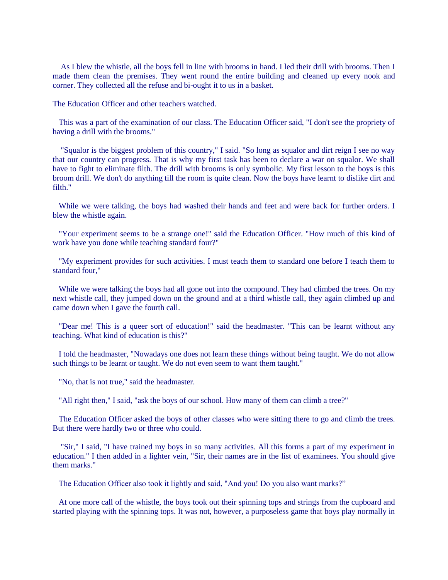As I blew the whistle, all the boys fell in line with brooms in hand. I led their drill with brooms. Then I made them clean the premises. They went round the entire building and cleaned up every nook and corner. They collected all the refuse and bi-ought it to us in a basket.

The Education Officer and other teachers watched.

 This was a part of the examination of our class. The Education Officer said, "I don't see the propriety of having a drill with the brooms."

 "Squalor is the biggest problem of this country," I said. "So long as squalor and dirt reign I see no way that our country can progress. That is why my first task has been to declare a war on squalor. We shall have to fight to eliminate filth. The drill with brooms is only symbolic. My first lesson to the boys is this broom drill. We don't do anything till the room is quite clean. Now the boys have learnt to dislike dirt and filth."

While we were talking, the boys had washed their hands and feet and were back for further orders. I blew the whistle again.

 "Your experiment seems to be a strange one!" said the Education Officer. "How much of this kind of work have you done while teaching standard four?"

 "My experiment provides for such activities. I must teach them to standard one before I teach them to standard four,"

While we were talking the boys had all gone out into the compound. They had climbed the trees. On my next whistle call, they jumped down on the ground and at a third whistle call, they again climbed up and came down when I gave the fourth call.

"Dear me! This is a queer sort of education!" said the headmaster. "This can be learnt without any teaching. What kind of education is this?"

 I told the headmaster, "Nowadays one does not learn these things without being taught. We do not allow such things to be learnt or taught. We do not even seem to want them taught."

"No, that is not true," said the headmaster.

"All right then," I said, "ask the boys of our school. How many of them can climb a tree?"

 The Education Officer asked the boys of other classes who were sitting there to go and climb the trees. But there were hardly two or three who could.

 "Sir," I said, "I have trained my boys in so many activities. All this forms a part of my experiment in education." I then added in a lighter vein, "Sir, their names are in the list of examinees. You should give them marks."

The Education Officer also took it lightly and said, "And you! Do you also want marks?"

 At one more call of the whistle, the boys took out their spinning tops and strings from the cupboard and started playing with the spinning tops. It was not, however, a purposeless game that boys play normally in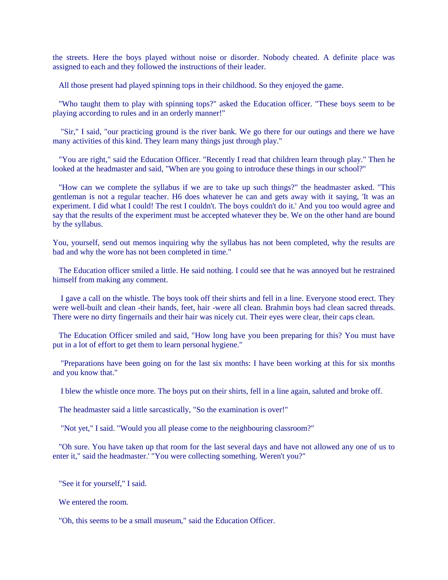the streets. Here the boys played without noise or disorder. Nobody cheated. A definite place was assigned to each and they followed the instructions of their leader.

All those present had played spinning tops in their childhood. So they enjoyed the game.

 "Who taught them to play with spinning tops?" asked the Education officer. "These boys seem to be playing according to rules and in an orderly manner!"

 "Sir," I said, "our practicing ground is the river bank. We go there for our outings and there we have many activities of this kind. They learn many things just through play."

 "You are right," said the Education Officer. "Recently I read that children learn through play." Then he looked at the headmaster and said, "When are you going to introduce these things in our school?"

 "How can we complete the syllabus if we are to take up such things?" the headmaster asked. "This gentleman is not a regular teacher. H6 does whatever he can and gets away with it saying, 'It was an experiment. I did what I could! The rest I couldn't. The boys couldn't do it.' And you too would agree and say that the results of the experiment must be accepted whatever they be. We on the other hand are bound by the syllabus.

You, yourself, send out memos inquiring why the syllabus has not been completed, why the results are bad and why the wore has not been completed in time."

 The Education officer smiled a little. He said nothing. I could see that he was annoyed but he restrained himself from making any comment.

 I gave a call on the whistle. The boys took off their shirts and fell in a line. Everyone stood erect. They were well-built and clean -their hands, feet, hair -were all clean. Brahmin boys had clean sacred threads. There were no dirty fingernails and their hair was nicely cut. Their eyes were clear, their caps clean.

 The Education Officer smiled and said, "How long have you been preparing for this? You must have put in a lot of effort to get them to learn personal hygiene."

 "Preparations have been going on for the last six months: I have been working at this for six months and you know that."

I blew the whistle once more. The boys put on their shirts, fell in a line again, saluted and broke off.

The headmaster said a little sarcastically, "So the examination is over!"

"Not yet," I said. "Would you all please come to the neighbouring classroom?"

 "Oh sure. You have taken up that room for the last several days and have not allowed any one of us to enter it," said the headmaster.' "You were collecting something. Weren't you?"

"See it for yourself," I said.

We entered the room.

"Oh, this seems to be a small museum," said the Education Officer.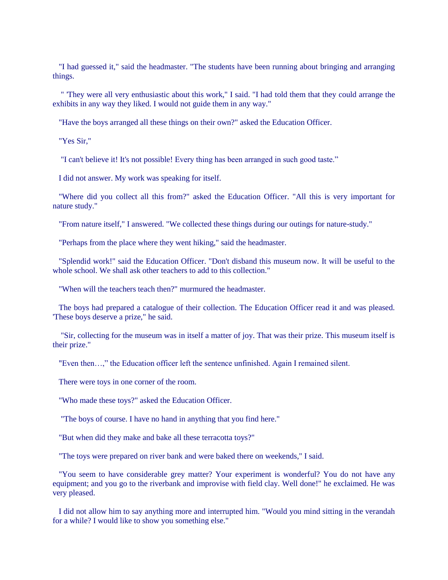"I had guessed it," said the headmaster. "The students have been running about bringing and arranging things.

 " 'They were all very enthusiastic about this work," I said. "I had told them that they could arrange the exhibits in any way they liked. I would not guide them in any way."

"Have the boys arranged all these things on their own?" asked the Education Officer.

"Yes Sir,"

"I can't believe it! It's not possible! Every thing has been arranged in such good taste."

I did not answer. My work was speaking for itself.

 "Where did you collect all this from?" asked the Education Officer. "All this is very important for nature study."

"From nature itself," I answered. "We collected these things during our outings for nature-study."

"Perhaps from the place where they went hiking," said the headmaster.

 "Splendid work!" said the Education Officer. "Don't disband this museum now. It will be useful to the whole school. We shall ask other teachers to add to this collection."

"When will the teachers teach then?" murmured the headmaster.

 The boys had prepared a catalogue of their collection. The Education Officer read it and was pleased. 'These boys deserve a prize," he said.

 "Sir, collecting for the museum was in itself a matter of joy. That was their prize. This museum itself is their prize."

"Even then…," the Education officer left the sentence unfinished. Again I remained silent.

There were toys in one corner of the room.

"Who made these toys?" asked the Education Officer.

"The boys of course. I have no hand in anything that you find here."

"But when did they make and bake all these terracotta toys?"

"The toys were prepared on river bank and were baked there on weekends," I said.

 "You seem to have considerable grey matter? Your experiment is wonderful? You do not have any equipment; and you go to the riverbank and improvise with field clay. Well done!" he exclaimed. He was very pleased.

 I did not allow him to say anything more and interrupted him. "Would you mind sitting in the verandah for a while? I would like to show you something else."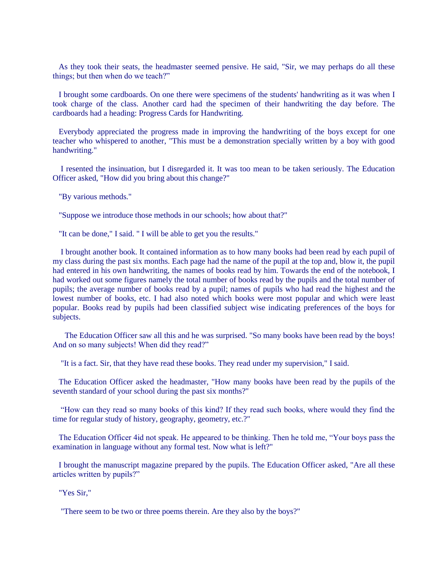As they took their seats, the headmaster seemed pensive. He said, "Sir, we may perhaps do all these things; but then when do we teach?"

 I brought some cardboards. On one there were specimens of the students' handwriting as it was when I took charge of the class. Another card had the specimen of their handwriting the day before. The cardboards had a heading: Progress Cards for Handwriting.

 Everybody appreciated the progress made in improving the handwriting of the boys except for one teacher who whispered to another, "This must be a demonstration specially written by a boy with good handwriting."

 I resented the insinuation, but I disregarded it. It was too mean to be taken seriously. The Education Officer asked, "How did you bring about this change?"

"By various methods."

"Suppose we introduce those methods in our schools; how about that?"

"It can be done," I said. " I will be able to get you the results."

 I brought another book. It contained information as to how many books had been read by each pupil of my class during the past six months. Each page had the name of the pupil at the top and, blow it, the pupil had entered in his own handwriting, the names of books read by him. Towards the end of the notebook, I had worked out some figures namely the total number of books read by the pupils and the total number of pupils; the average number of books read by a pupil; names of pupils who had read the highest and the lowest number of books, etc. I had also noted which books were most popular and which were least popular. Books read by pupils had been classified subject wise indicating preferences of the boys for subjects.

 The Education Officer saw all this and he was surprised. "So many books have been read by the boys! And on so many subjects! When did they read?"

"It is a fact. Sir, that they have read these books. They read under my supervision," I said.

 The Education Officer asked the headmaster, "How many books have been read by the pupils of the seventh standard of your school during the past six months?"

 "How can they read so many books of this kind? If they read such books, where would they find the time for regular study of history, geography, geometry, etc.?"

 The Education Officer 4id not speak. He appeared to be thinking. Then he told me, "Your boys pass the examination in language without any formal test. Now what is left?"

 I brought the manuscript magazine prepared by the pupils. The Education Officer asked, "Are all these articles written by pupils?"

"Yes Sir,"

"There seem to be two or three poems therein. Are they also by the boys?"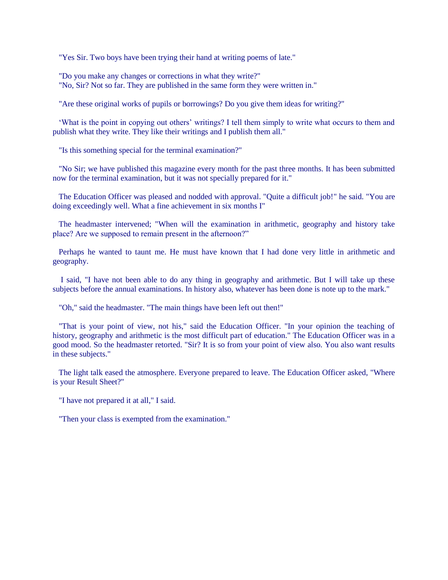"Yes Sir. Two boys have been trying their hand at writing poems of late."

 "Do you make any changes or corrections in what they write?" "No, Sir? Not so far. They are published in the same form they were written in."

"Are these original works of pupils or borrowings? Do you give them ideas for writing?"

 'What is the point in copying out others' writings? I tell them simply to write what occurs to them and publish what they write. They like their writings and I publish them all."

"Is this something special for the terminal examination?"

 "No Sir; we have published this magazine every month for the past three months. It has been submitted now for the terminal examination, but it was not specially prepared for it."

 The Education Officer was pleased and nodded with approval. "Quite a difficult job!" he said. "You are doing exceedingly well. What a fine achievement in six months I"

 The headmaster intervened; "When will the examination in arithmetic, geography and history take place? Are we supposed to remain present in the afternoon?"

 Perhaps he wanted to taunt me. He must have known that I had done very little in arithmetic and geography.

 I said, "I have not been able to do any thing in geography and arithmetic. But I will take up these subjects before the annual examinations. In history also, whatever has been done is note up to the mark."

"Oh," said the headmaster. "The main things have been left out then!"

 "That is your point of view, not his," said the Education Officer. "In your opinion the teaching of history, geography and arithmetic is the most difficult part of education." The Education Officer was in a good mood. So the headmaster retorted. "Sir? It is so from your point of view also. You also want results in these subjects."

 The light talk eased the atmosphere. Everyone prepared to leave. The Education Officer asked, "Where is your Result Sheet?"

"I have not prepared it at all," I said.

"Then your class is exempted from the examination."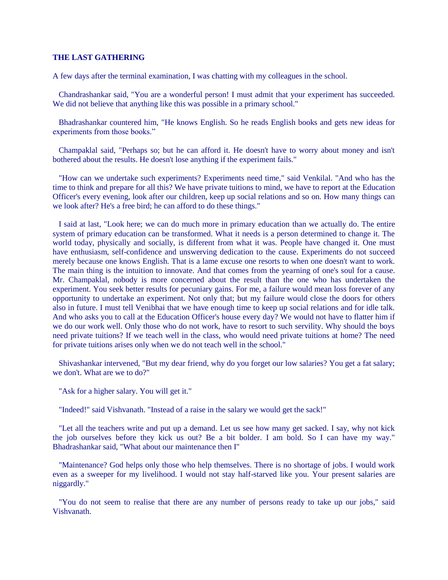## <span id="page-48-0"></span>**THE LAST GATHERING**

A few days after the terminal examination, I was chatting with my colleagues in the school.

 Chandrashankar said, "You are a wonderful person! I must admit that your experiment has succeeded. We did not believe that anything like this was possible in a primary school."

 Bhadrashankar countered him, "He knows English. So he reads English books and gets new ideas for experiments from those books."

 Champaklal said, "Perhaps so; but he can afford it. He doesn't have to worry about money and isn't bothered about the results. He doesn't lose anything if the experiment fails."

 "How can we undertake such experiments? Experiments need time," said Venkilal. "And who has the time to think and prepare for all this? We have private tuitions to mind, we have to report at the Education Officer's every evening, look after our children, keep up social relations and so on. How many things can we look after? He's a free bird; he can afford to do these things."

 I said at last, "Look here; we can do much more in primary education than we actually do. The entire system of primary education can be transformed. What it needs is a person determined to change it. The world today, physically and socially, is different from what it was. People have changed it. One must have enthusiasm, self-confidence and unswerving dedication to the cause. Experiments do not succeed merely because one knows English. That is a lame excuse one resorts to when one doesn't want to work. The main thing is the intuition to innovate. And that comes from the yearning of one's soul for a cause. Mr. Champaklal, nobody is more concerned about the result than the one who has undertaken the experiment. You seek better results for pecuniary gains. For me, a failure would mean loss forever of any opportunity to undertake an experiment. Not only that; but my failure would close the doors for others also in future. I must tell Venibhai that we have enough time to keep up social relations and for idle talk. And who asks you to call at the Education Officer's house every day? We would not have to flatter him if we do our work well. Only those who do not work, have to resort to such servility. Why should the boys need private tuitions? If we teach well in the class, who would need private tuitions at home? The need for private tuitions arises only when we do not teach well in the school."

 Shivashankar intervened, "But my dear friend, why do you forget our low salaries? You get a fat salary; we don't. What are we to do?"

"Ask for a higher salary. You will get it."

"Indeed!" said Vishvanath. "Instead of a raise in the salary we would get the sack!"

 "Let all the teachers write and put up a demand. Let us see how many get sacked. I say, why not kick the job ourselves before they kick us out? Be a bit bolder. I am bold. So I can have my way." Bhadrashankar said, "What about our maintenance then I"

 "Maintenance? God helps only those who help themselves. There is no shortage of jobs. I would work even as a sweeper for my livelihood. I would not stay half-starved like you. Your present salaries are niggardly."

 "You do not seem to realise that there are any number of persons ready to take up our jobs," said Vishvanath.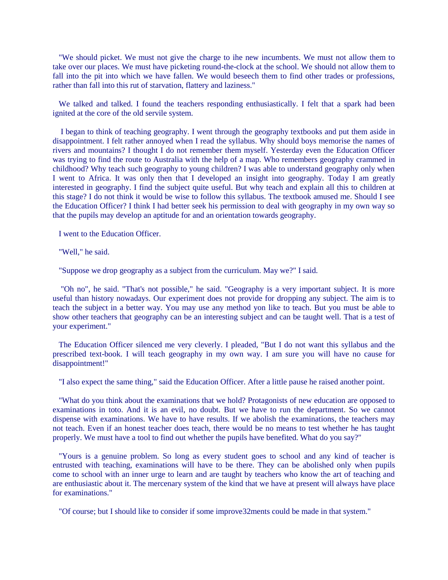"We should picket. We must not give the charge to ihe new incumbents. We must not allow them to take over our places. We must have picketing round-the-clock at the school. We should not allow them to fall into the pit into which we have fallen. We would beseech them to find other trades or professions, rather than fall into this rut of starvation, flattery and laziness."

 We talked and talked. I found the teachers responding enthusiastically. I felt that a spark had been ignited at the core of the old servile system.

 I began to think of teaching geography. I went through the geography textbooks and put them aside in disappointment. I felt rather annoyed when I read the syllabus. Why should boys memorise the names of rivers and mountains? I thought I do not remember them myself. Yesterday even the Education Officer was trying to find the route to Australia with the help of a map. Who remembers geography crammed in childhood? Why teach such geography to young children? I was able to understand geography only when I went to Africa. It was only then that I developed an insight into geography. Today I am greatly interested in geography. I find the subject quite useful. But why teach and explain all this to children at this stage? I do not think it would be wise to follow this syllabus. The textbook amused me. Should I see the Education Officer? I think I had better seek his permission to deal with geography in my own way so that the pupils may develop an aptitude for and an orientation towards geography.

I went to the Education Officer.

"Well," he said.

"Suppose we drop geography as a subject from the curriculum. May we?" I said.

 "Oh no", he said. "That's not possible," he said. "Geography is a very important subject. It is more useful than history nowadays. Our experiment does not provide for dropping any subject. The aim is to teach the subject in a better way. You may use any method yon like to teach. But you must be able to show other teachers that geography can be an interesting subject and can be taught well. That is a test of your experiment."

 The Education Officer silenced me very cleverly. I pleaded, "But I do not want this syllabus and the prescribed text-book. I will teach geography in my own way. I am sure you will have no cause for disappointment!"

"I also expect the same thing," said the Education Officer. After a little pause he raised another point.

 "What do you think about the examinations that we hold? Protagonists of new education are opposed to examinations in toto. And it is an evil, no doubt. But we have to run the department. So we cannot dispense with examinations. We have to have results. If we abolish the examinations, the teachers may not teach. Even if an honest teacher does teach, there would be no means to test whether he has taught properly. We must have a tool to find out whether the pupils have benefited. What do you say?"

 "Yours is a genuine problem. So long as every student goes to school and any kind of teacher is entrusted with teaching, examinations will have to be there. They can be abolished only when pupils come to school with an inner urge to learn and are taught by teachers who know the art of teaching and are enthusiastic about it. The mercenary system of the kind that we have at present will always have place for examinations."

"Of course; but I should like to consider if some improve32ments could be made in that system."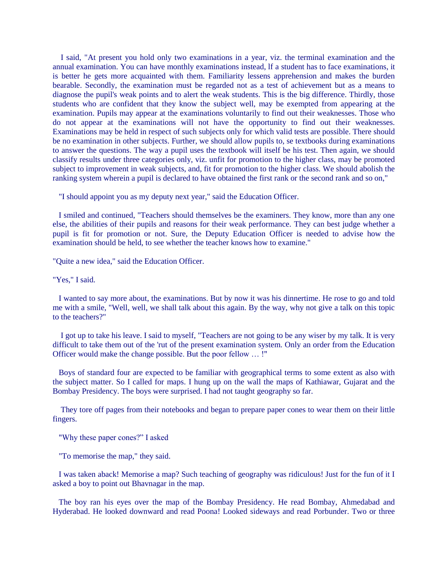I said, "At present you hold only two examinations in a year, viz. the terminal examination and the annual examination. You can have monthly examinations instead, lf a student has to face examinations, it is better he gets more acquainted with them. Familiarity lessens apprehension and makes the burden bearable. Secondly, the examination must be regarded not as a test of achievement but as a means to diagnose the pupil's weak points and to alert the weak students. This is the big difference. Thirdly, those students who are confident that they know the subject well, may be exempted from appearing at the examination. Pupils may appear at the examinations voluntarily to find out their weaknesses. Those who do not appear at the examinations will not have the opportunity to find out their weaknesses. Examinations may be held in respect of such subjects only for which valid tests are possible. There should be no examination in other subjects. Further, we should allow pupils to, se textbooks during examinations to answer the questions. The way a pupil uses the textbook will itself be his test. Then again, we should classify results under three categories only, viz. unfit for promotion to the higher class, may be promoted subject to improvement in weak subjects, and, fit for promotion to the higher class. We should abolish the ranking system wherein a pupil is declared to have obtained the first rank or the second rank and so on,"

"I should appoint you as my deputy next year," said the Education Officer.

 I smiled and continued, "Teachers should themselves be the examiners. They know, more than any one else, the abilities of their pupils and reasons for their weak performance. They can best judge whether a pupil is fit for promotion or not. Sure, the Deputy Education Officer is needed to advise how the examination should be held, to see whether the teacher knows how to examine."

"Quite a new idea," said the Education Officer.

"Yes," I said.

 I wanted to say more about, the examinations. But by now it was his dinnertime. He rose to go and told me with a smile, "Well, well, we shall talk about this again. By the way, why not give a talk on this topic to the teachers?"

 I got up to take his leave. I said to myself, "Teachers are not going to be any wiser by my talk. It is very difficult to take them out of the 'rut of the present examination system. Only an order from the Education Officer would make the change possible. But the poor fellow … !"

 Boys of standard four are expected to be familiar with geographical terms to some extent as also with the subject matter. So I called for maps. I hung up on the wall the maps of Kathiawar, Gujarat and the Bombay Presidency. The boys were surprised. I had not taught geography so far.

 They tore off pages from their notebooks and began to prepare paper cones to wear them on their little fingers.

"Why these paper cones?" I asked

"To memorise the map," they said.

 I was taken aback! Memorise a map? Such teaching of geography was ridiculous! Just for the fun of it I asked a boy to point out Bhavnagar in the map.

 The boy ran his eyes over the map of the Bombay Presidency. He read Bombay, Ahmedabad and Hyderabad. He looked downward and read Poona! Looked sideways and read Porbunder. Two or three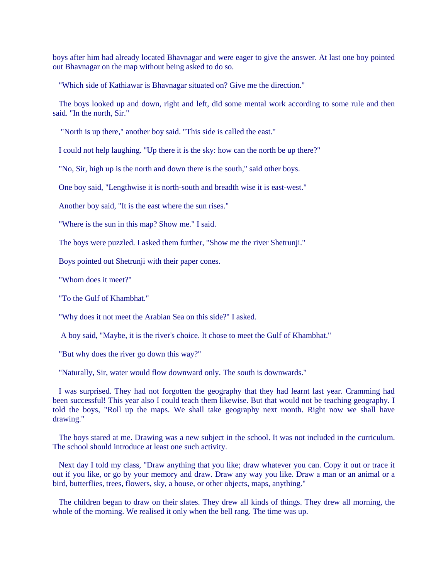boys after him had already located Bhavnagar and were eager to give the answer. At last one boy pointed out Bhavnagar on the map without being asked to do so.

"Which side of Kathiawar is Bhavnagar situated on? Give me the direction."

 The boys looked up and down, right and left, did some mental work according to some rule and then said. "In the north, Sir."

"North is up there," another boy said. "This side is called the east."

I could not help laughing. "Up there it is the sky: how can the north be up there?"

"No, Sir, high up is the north and down there is the south," said other boys.

One boy said, "Lengthwise it is north-south and breadth wise it is east-west."

Another boy said, "It is the east where the sun rises."

"Where is the sun in this map? Show me." I said.

The boys were puzzled. I asked them further, "Show me the river Shetrunji."

Boys pointed out Shetrunji with their paper cones.

"Whom does it meet?"

"To the Gulf of Khambhat."

"Why does it not meet the Arabian Sea on this side?" I asked.

A boy said, "Maybe, it is the river's choice. It chose to meet the Gulf of Khambhat."

"But why does the river go down this way?"

"Naturally, Sir, water would flow downward only. The south is downwards."

 I was surprised. They had not forgotten the geography that they had learnt last year. Cramming had been successful! This year also I could teach them likewise. But that would not be teaching geography. I told the boys, "Roll up the maps. We shall take geography next month. Right now we shall have drawing."

 The boys stared at me. Drawing was a new subject in the school. It was not included in the curriculum. The school should introduce at least one such activity.

 Next day I told my class, "Draw anything that you like; draw whatever you can. Copy it out or trace it out if you like, or go by your memory and draw. Draw any way you like. Draw a man or an animal or a bird, butterflies, trees, flowers, sky, a house, or other objects, maps, anything."

 The children began to draw on their slates. They drew all kinds of things. They drew all morning, the whole of the morning. We realised it only when the bell rang. The time was up.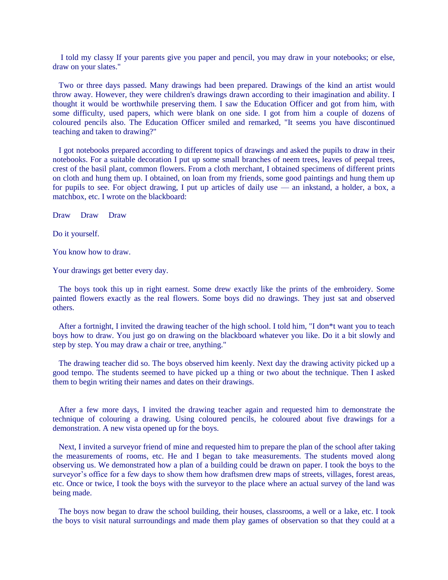I told my classy If your parents give you paper and pencil, you may draw in your notebooks; or else, draw on your slates."

 Two or three days passed. Many drawings had been prepared. Drawings of the kind an artist would throw away. However, they were children's drawings drawn according to their imagination and ability. I thought it would be worthwhile preserving them. I saw the Education Officer and got from him, with some difficulty, used papers, which were blank on one side. I got from him a couple of dozens of coloured pencils also. The Education Officer smiled and remarked, "It seems you have discontinued teaching and taken to drawing?"

 I got notebooks prepared according to different topics of drawings and asked the pupils to draw in their notebooks. For a suitable decoration I put up some small branches of neem trees, leaves of peepal trees, crest of the basil plant, common flowers. From a cloth merchant, I obtained specimens of different prints on cloth and hung them up. I obtained, on loan from my friends, some good paintings and hung them up for pupils to see. For object drawing, I put up articles of daily use — an inkstand, a holder, a box, a matchbox, etc. I wrote on the blackboard:

Draw Draw Draw

Do it yourself.

You know how to draw.

Your drawings get better every day.

 The boys took this up in right earnest. Some drew exactly like the prints of the embroidery. Some painted flowers exactly as the real flowers. Some boys did no drawings. They just sat and observed others.

 After a fortnight, I invited the drawing teacher of the high school. I told him, "I don\*t want you to teach boys how to draw. You just go on drawing on the blackboard whatever you like. Do it a bit slowly and step by step. You may draw a chair or tree, anything."

 The drawing teacher did so. The boys observed him keenly. Next day the drawing activity picked up a good tempo. The students seemed to have picked up a thing or two about the technique. Then I asked them to begin writing their names and dates on their drawings.

 After a few more days, I invited the drawing teacher again and requested him to demonstrate the technique of colouring a drawing. Using coloured pencils, he coloured about five drawings for a demonstration. A new vista opened up for the boys.

 Next, I invited a surveyor friend of mine and requested him to prepare the plan of the school after taking the measurements of rooms, etc. He and I began to take measurements. The students moved along observing us. We demonstrated how a plan of a building could be drawn on paper. I took the boys to the surveyor's office for a few days to show them how draftsmen drew maps of streets, villages, forest areas, etc. Once or twice, I took the boys with the surveyor to the place where an actual survey of the land was being made.

 The boys now began to draw the school building, their houses, classrooms, a well or a lake, etc. I took the boys to visit natural surroundings and made them play games of observation so that they could at a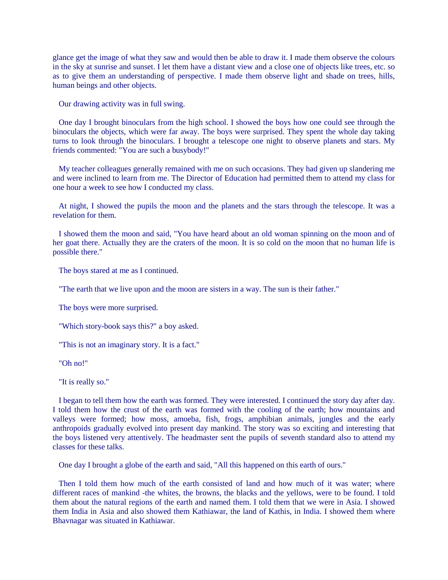glance get the image of what they saw and would then be able to draw it. I made them observe the colours in the sky at sunrise and sunset. I let them have a distant view and a close one of objects like trees, etc. so as to give them an understanding of perspective. I made them observe light and shade on trees, hills, human beings and other objects.

Our drawing activity was in full swing.

 One day I brought binoculars from the high school. I showed the boys how one could see through the binoculars the objects, which were far away. The boys were surprised. They spent the whole day taking turns to look through the binoculars. I brought a telescope one night to observe planets and stars. My friends commented: "You are such a busybody!"

 My teacher colleagues generally remained with me on such occasions. They had given up slandering me and were inclined to learn from me. The Director of Education had permitted them to attend my class for one hour a week to see how I conducted my class.

 At night, I showed the pupils the moon and the planets and the stars through the telescope. It was a revelation for them.

 I showed them the moon and said, "You have heard about an old woman spinning on the moon and of her goat there. Actually they are the craters of the moon. It is so cold on the moon that no human life is possible there."

The boys stared at me as I continued.

"The earth that we live upon and the moon are sisters in a way. The sun is their father."

The boys were more surprised.

"Which story-book says this?" a boy asked.

"This is not an imaginary story. It is a fact."

"Oh no!"

"It is really so."

 I began to tell them how the earth was formed. They were interested. I continued the story day after day. I told them how the crust of the earth was formed with the cooling of the earth; how mountains and valleys were formed; how moss, amoeba, fish, frogs, amphibian animals, jungles and the early anthropoids gradually evolved into present day mankind. The story was so exciting and interesting that the boys listened very attentively. The headmaster sent the pupils of seventh standard also to attend my classes for these talks.

One day I brought a globe of the earth and said, "All this happened on this earth of ours."

 Then I told them how much of the earth consisted of land and how much of it was water; where different races of mankind -the whites, the browns, the blacks and the yellows, were to be found. I told them about the natural regions of the earth and named them. I told them that we were in Asia. I showed them India in Asia and also showed them Kathiawar, the land of Kathis, in India. I showed them where Bhavnagar was situated in Kathiawar.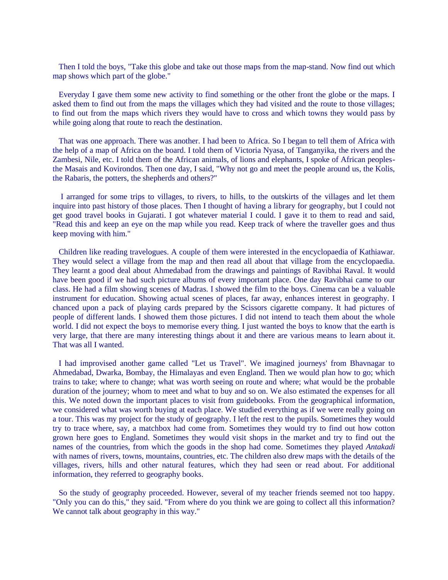Then I told the boys, "Take this globe and take out those maps from the map-stand. Now find out which map shows which part of the globe."

 Everyday I gave them some new activity to find something or the other front the globe or the maps. I asked them to find out from the maps the villages which they had visited and the route to those villages; to find out from the maps which rivers they would have to cross and which towns they would pass by while going along that route to reach the destination.

 That was one approach. There was another. I had been to Africa. So I began to tell them of Africa with the help of a map of Africa on the board. I told them of Victoria Nyasa, of Tanganyika, the rivers and the Zambesi, Nile, etc. I told them of the African animals, of lions and elephants, I spoke of African peoplesthe Masais and Kovirondos. Then one day, I said, "Why not go and meet the people around us, the Kolis, the Rabaris, the potters, the shepherds and others?"

 I arranged for some trips to villages, to rivers, to hills, to the outskirts of the villages and let them inquire into past history of those places. Then I thought of having a library for geography, but I could not get good travel books in Gujarati. I got whatever material I could. I gave it to them to read and said, "Read this and keep an eye on the map while you read. Keep track of where the traveller goes and thus keep moving with him."

 Children like reading travelogues. A couple of them were interested in the encyclopaedia of Kathiawar. They would select a village from the map and then read all about that village from the encyclopaedia. They learnt a good deal about Ahmedabad from the drawings and paintings of Ravibhai Raval. It would have been good if we had such picture albums of every important place. One day Ravibhai came to our class. He had a film showing scenes of Madras. I showed the film to the boys. Cinema can be a valuable instrument for education. Showing actual scenes of places, far away, enhances interest in geography. I chanced upon a pack of playing cards prepared by the Scissors cigarette company. It had pictures of people of different lands. I showed them those pictures. I did not intend to teach them about the whole world. I did not expect the boys to memorise every thing. I just wanted the boys to know that the earth is very large, that there are many interesting things about it and there are various means to learn about it. That was all I wanted.

 I had improvised another game called "Let us Travel". We imagined journeys' from Bhavnagar to Ahmedabad, Dwarka, Bombay, the Himalayas and even England. Then we would plan how to go; which trains to take; where to change; what was worth seeing on route and where; what would be the probable duration of the journey; whom to meet and what to buy and so on. We also estimated the expenses for all this. We noted down the important places to visit from guidebooks. From the geographical information, we considered what was worth buying at each place. We studied everything as if we were really going on a tour. This was my project for the study of geography. I left the rest to the pupils. Sometimes they would try to trace where, say, a matchbox had come from. Sometimes they would try to find out how cotton grown here goes to England. Sometimes they would visit shops in the market and try to find out the names of the countries, from which the goods in the shop had come. Sometimes they played *Antakadi* with names of rivers, towns, mountains, countries, etc. The children also drew maps with the details of the villages, rivers, hills and other natural features, which they had seen or read about. For additional information, they referred to geography books.

 So the study of geography proceeded. However, several of my teacher friends seemed not too happy. "Only you can do this," they said. "From where do you think we are going to collect all this information? We cannot talk about geography in this way."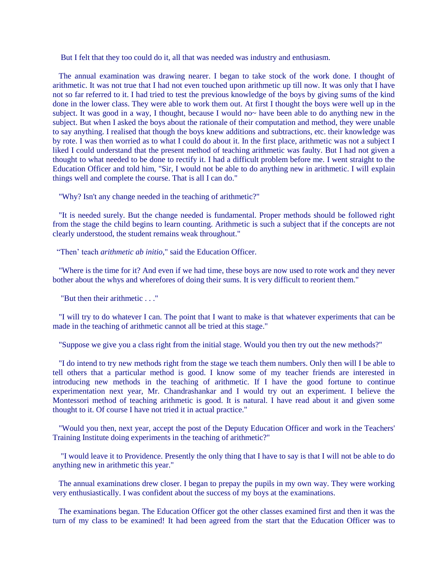But I felt that they too could do it, all that was needed was industry and enthusiasm.

 The annual examination was drawing nearer. I began to take stock of the work done. I thought of arithmetic. It was not true that I had not even touched upon arithmetic up till now. It was only that I have not so far referred to it. I had tried to test the previous knowledge of the boys by giving sums of the kind done in the lower class. They were able to work them out. At first I thought the boys were well up in the subject. It was good in a way, I thought, because I would no $\sim$  have been able to do anything new in the subject. But when I asked the boys about the rationale of their computation and method, they were unable to say anything. I realised that though the boys knew additions and subtractions, etc. their knowledge was by rote. I was then worried as to what I could do about it. In the first place, arithmetic was not a subject I liked I could understand that the present method of teaching arithmetic was faulty. But I had not given a thought to what needed to be done to rectify it. I had a difficult problem before me. I went straight to the Education Officer and told him, "Sir, I would not be able to do anything new in arithmetic. I will explain things well and complete the course. That is all I can do."

"Why? Isn't any change needed in the teaching of arithmetic?"

 "It is needed surely. But the change needed is fundamental. Proper methods should be followed right from the stage the child begins to learn counting. Arithmetic is such a subject that if the concepts are not clearly understood, the student remains weak throughout."

"Then' teach *arithmetic ab initio*," said the Education Officer.

 "Where is the time for it? And even if we had time, these boys are now used to rote work and they never bother about the whys and wherefores of doing their sums. It is very difficult to reorient them."

"But then their arithmetic . . ."

 "I will try to do whatever I can. The point that I want to make is that whatever experiments that can be made in the teaching of arithmetic cannot all be tried at this stage."

"Suppose we give you a class right from the initial stage. Would you then try out the new methods?"

 "I do intend to try new methods right from the stage we teach them numbers. Only then will I be able to tell others that a particular method is good. I know some of my teacher friends are interested in introducing new methods in the teaching of arithmetic. If I have the good fortune to continue experimentation next year, Mr. Chandrashankar and I would try out an experiment. I believe the Montessori method of teaching arithmetic is good. It is natural. I have read about it and given some thought to it. Of course I have not tried it in actual practice."

 "Would you then, next year, accept the post of the Deputy Education Officer and work in the Teachers' Training Institute doing experiments in the teaching of arithmetic?"

 "I would leave it to Providence. Presently the only thing that I have to say is that I will not be able to do anything new in arithmetic this year."

 The annual examinations drew closer. I began to prepay the pupils in my own way. They were working very enthusiastically. I was confident about the success of my boys at the examinations.

 The examinations began. The Education Officer got the other classes examined first and then it was the turn of my class to be examined! It had been agreed from the start that the Education Officer was to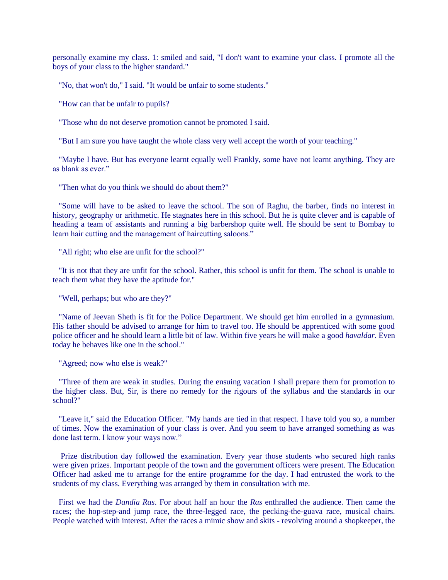personally examine my class. 1: smiled and said, "I don't want to examine your class. I promote all the boys of your class to the higher standard."

"No, that won't do," I said. "It would be unfair to some students."

"How can that be unfair to pupils?

"Those who do not deserve promotion cannot be promoted I said.

"But I am sure you have taught the whole class very well accept the worth of your teaching."

 "Maybe I have. But has everyone learnt equally well Frankly, some have not learnt anything. They are as blank as ever."

"Then what do you think we should do about them?"

 "Some will have to be asked to leave the school. The son of Raghu, the barber, finds no interest in history, geography or arithmetic. He stagnates here in this school. But he is quite clever and is capable of heading a team of assistants and running a big barbershop quite well. He should be sent to Bombay to learn hair cutting and the management of haircutting saloons."

"All right; who else are unfit for the school?"

 "It is not that they are unfit for the school. Rather, this school is unfit for them. The school is unable to teach them what they have the aptitude for."

"Well, perhaps; but who are they?"

 "Name of Jeevan Sheth is fit for the Police Department. We should get him enrolled in a gymnasium. His father should be advised to arrange for him to travel too. He should be apprenticed with some good police officer and he should learn a little bit of law. Within five years he will make a good *havaldar*. Even today he behaves like one in the school."

"Agreed; now who else is weak?"

 "Three of them are weak in studies. During the ensuing vacation I shall prepare them for promotion to the higher class. But, Sir, is there no remedy for the rigours of the syllabus and the standards in our school?"

 "Leave it," said the Education Officer. "My hands are tied in that respect. I have told you so, a number of times. Now the examination of your class is over. And you seem to have arranged something as was done last term. I know your ways now."

 Prize distribution day followed the examination. Every year those students who secured high ranks were given prizes. Important people of the town and the government officers were present. The Education Officer had asked me to arrange for the entire programme for the day. I had entrusted the work to the students of my class. Everything was arranged by them in consultation with me.

 First we had the *Dandia Ras*. For about half an hour the *Ras* enthralled the audience. Then came the races; the hop-step-and jump race, the three-legged race, the pecking-the-guava race, musical chairs. People watched with interest. After the races a mimic show and skits - revolving around a shopkeeper, the